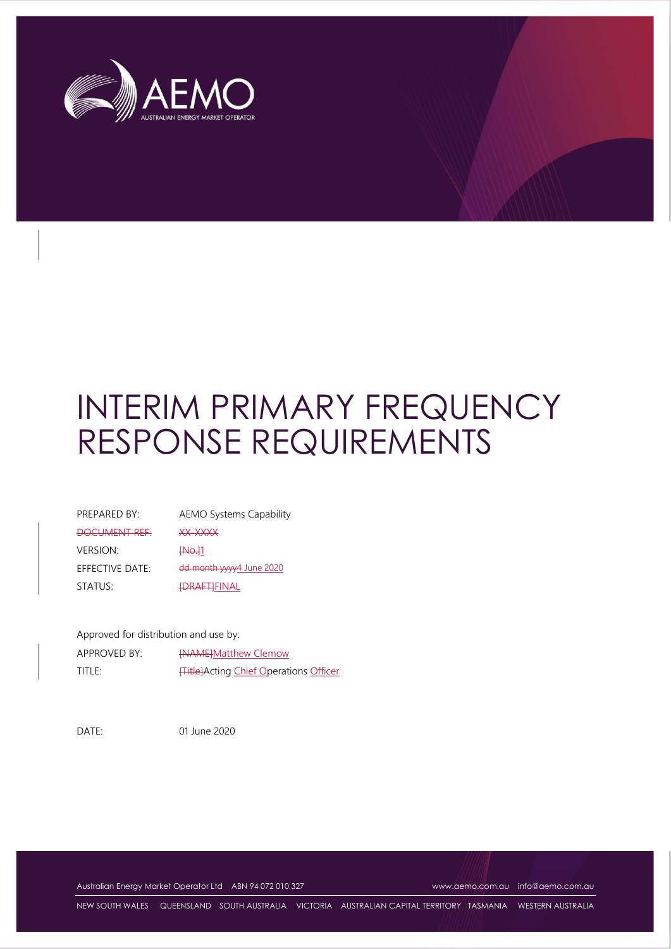

# INTERIM PRIMARY FREQUENCY RESPONSE REQUIREMENTS

| PREPARED BY:    | <b>AEMO Systems Capability</b> |
|-----------------|--------------------------------|
| DOCUMENT REF    | XX-XXXX                        |
| <b>VERSION:</b> | <del>INo.]</del> 1             |
| EFFECTIVE DATE: | dd month yyyy4 June 2020       |
| STATUS:         | <del>IDRAFTI</del> FINAL       |

Approved for distribution and use by:

| APPROVED BY: | <b>INAMEIMatthew Clemow</b>                   |
|--------------|-----------------------------------------------|
| title:       | <b>Title]</b> Acting Chief Operations Officer |

DATE: 01 June 2020

Australian Energy Market Operator Ltd ABN 94 072 010 327 [www.aemo.com.au](http://www.aemo.com.au/) [info@aemo.com.au](mailto:info@aemo.com.au)

NEW SOUTH WALES QUEENSLAND SOUTH AUSTRALIA VICTORIA AUSTRALIAN CAPITAL TERRITORY TASMANIA WESTERN AUSTRALIA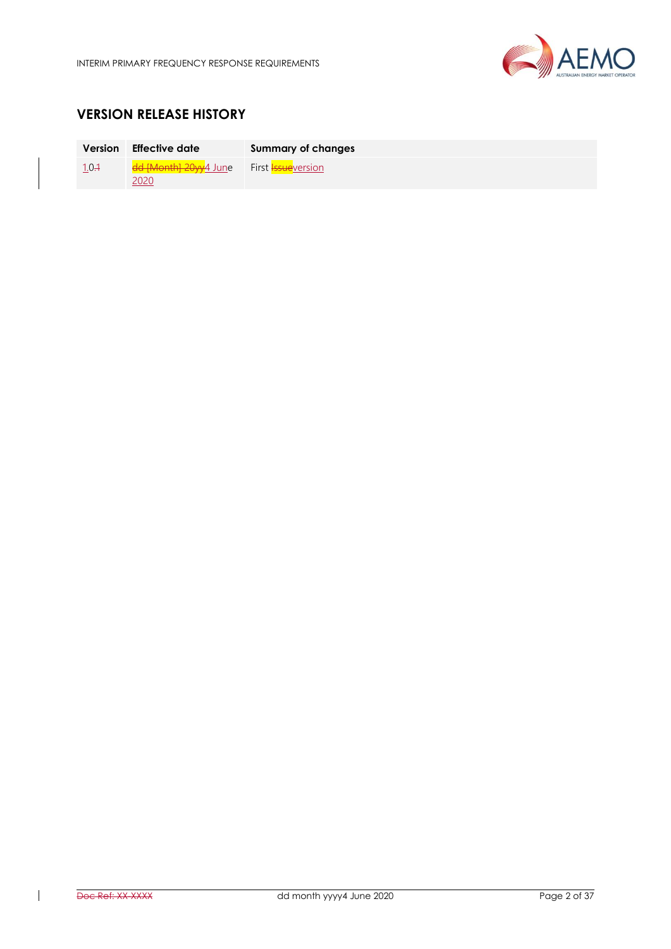

# **VERSION RELEASE HISTORY**

|       | Version Effective date                   | Summary of changes |
|-------|------------------------------------------|--------------------|
| 1.0.1 | dd [Month] 20yy4 June First Issueversion |                    |
|       | 2020                                     |                    |

 $\overline{\phantom{a}}$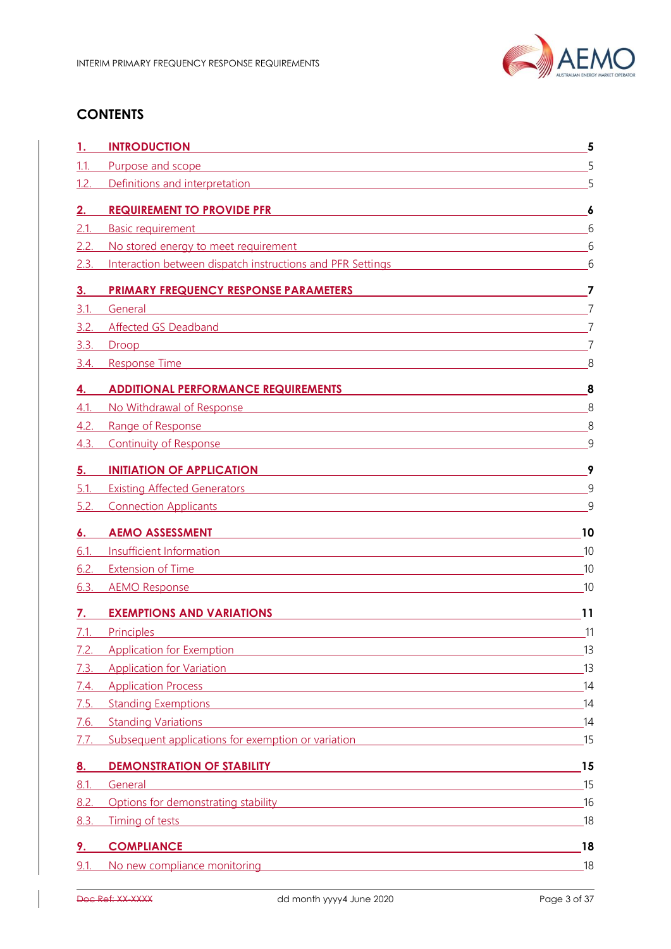

# **CONTENTS**

| 1.1.<br>Purpose and scope<br>1.2.<br>Definitions and interpretation <b>Executive Construction Construction Construction</b><br><b>REQUIREMENT TO PROVIDE PFR</b><br>2.<br>2.1<br><b>Basic requirement</b><br><u> 1980 - Johann Barn, fransk politik (d. 1980)</u><br>No stored energy to meet requirement entries and the store of the store of the store of the store of the store<br>2.2.<br>2.3.<br>Interaction between dispatch instructions and PFR Settings<br><b>PRIMARY FREQUENCY RESPONSE PARAMETERS</b><br>3.<br>3.1<br>General<br><u> 1989 - Johann Stoff, amerikansk politiker (d. 1989)</u><br>3.2.<br>Affected GS Deadband <b>Constant Constant Constant Constant Constant Constant Constant Constant Constant Constant</b><br>3.3.<br>Droop<br><u> 1989 - Andrea State Barbara, amerikan basar dan berasal dan berasal dalam basa dan berasal dan berasal dalam</u><br>3.4.<br>Response Time and the contract of the contract of the contract of the contract of the contract of the contract of the contract of the contract of the contract of the contract of the contract of the contract of the contract<br><b>ADDITIONAL PERFORMANCE REQUIREMENTS</b><br>4.<br>4.1<br>No Withdrawal of Response <b>No. 1988</b> No. 1998 No. 1998 No. 1998 No. 1999 No. 1999 No. 1999 No. 1999 No. 1999 No. 1999 No. 1999 No. 1999 No. 1999 No. 1999 No. 1999 No. 1999 No. 1999 No. 1999 No. 1999 No. 1999 No. 1999 No. 1<br>4.2.<br>Range of Response<br><u> 1989 - Johann Barn, amerikansk politiker (d. 1989)</u><br>4.3.<br>Continuity of Response <b>Continuity of Response</b><br><b>INITIATION OF APPLICATION</b><br>5.<br>5.1<br><b>Existing Affected Generators</b><br><u> 1988 - Johann Stein, fransk politik (d. 1988)</u><br>5.2.<br><b>Connection Applicants Connection Applicants</b><br><b>AEMO ASSESSMENT</b><br>6.<br><u> 1980 - Andrea Barbara, amerikana amerikana amerikana amerikana amerikana amerikana amerikana amerikana amerik</u><br>6.1 | 5<br>5<br>6<br>6<br>6<br>6<br>7<br>7<br>7<br>8<br>8 |
|--------------------------------------------------------------------------------------------------------------------------------------------------------------------------------------------------------------------------------------------------------------------------------------------------------------------------------------------------------------------------------------------------------------------------------------------------------------------------------------------------------------------------------------------------------------------------------------------------------------------------------------------------------------------------------------------------------------------------------------------------------------------------------------------------------------------------------------------------------------------------------------------------------------------------------------------------------------------------------------------------------------------------------------------------------------------------------------------------------------------------------------------------------------------------------------------------------------------------------------------------------------------------------------------------------------------------------------------------------------------------------------------------------------------------------------------------------------------------------------------------------------------------------------------------------------------------------------------------------------------------------------------------------------------------------------------------------------------------------------------------------------------------------------------------------------------------------------------------------------------------------------------------------------------------------------------------------------------------|-----------------------------------------------------|
|                                                                                                                                                                                                                                                                                                                                                                                                                                                                                                                                                                                                                                                                                                                                                                                                                                                                                                                                                                                                                                                                                                                                                                                                                                                                                                                                                                                                                                                                                                                                                                                                                                                                                                                                                                                                                                                                                                                                                                          |                                                     |
|                                                                                                                                                                                                                                                                                                                                                                                                                                                                                                                                                                                                                                                                                                                                                                                                                                                                                                                                                                                                                                                                                                                                                                                                                                                                                                                                                                                                                                                                                                                                                                                                                                                                                                                                                                                                                                                                                                                                                                          |                                                     |
|                                                                                                                                                                                                                                                                                                                                                                                                                                                                                                                                                                                                                                                                                                                                                                                                                                                                                                                                                                                                                                                                                                                                                                                                                                                                                                                                                                                                                                                                                                                                                                                                                                                                                                                                                                                                                                                                                                                                                                          |                                                     |
|                                                                                                                                                                                                                                                                                                                                                                                                                                                                                                                                                                                                                                                                                                                                                                                                                                                                                                                                                                                                                                                                                                                                                                                                                                                                                                                                                                                                                                                                                                                                                                                                                                                                                                                                                                                                                                                                                                                                                                          |                                                     |
|                                                                                                                                                                                                                                                                                                                                                                                                                                                                                                                                                                                                                                                                                                                                                                                                                                                                                                                                                                                                                                                                                                                                                                                                                                                                                                                                                                                                                                                                                                                                                                                                                                                                                                                                                                                                                                                                                                                                                                          |                                                     |
|                                                                                                                                                                                                                                                                                                                                                                                                                                                                                                                                                                                                                                                                                                                                                                                                                                                                                                                                                                                                                                                                                                                                                                                                                                                                                                                                                                                                                                                                                                                                                                                                                                                                                                                                                                                                                                                                                                                                                                          |                                                     |
|                                                                                                                                                                                                                                                                                                                                                                                                                                                                                                                                                                                                                                                                                                                                                                                                                                                                                                                                                                                                                                                                                                                                                                                                                                                                                                                                                                                                                                                                                                                                                                                                                                                                                                                                                                                                                                                                                                                                                                          |                                                     |
|                                                                                                                                                                                                                                                                                                                                                                                                                                                                                                                                                                                                                                                                                                                                                                                                                                                                                                                                                                                                                                                                                                                                                                                                                                                                                                                                                                                                                                                                                                                                                                                                                                                                                                                                                                                                                                                                                                                                                                          |                                                     |
|                                                                                                                                                                                                                                                                                                                                                                                                                                                                                                                                                                                                                                                                                                                                                                                                                                                                                                                                                                                                                                                                                                                                                                                                                                                                                                                                                                                                                                                                                                                                                                                                                                                                                                                                                                                                                                                                                                                                                                          |                                                     |
|                                                                                                                                                                                                                                                                                                                                                                                                                                                                                                                                                                                                                                                                                                                                                                                                                                                                                                                                                                                                                                                                                                                                                                                                                                                                                                                                                                                                                                                                                                                                                                                                                                                                                                                                                                                                                                                                                                                                                                          |                                                     |
|                                                                                                                                                                                                                                                                                                                                                                                                                                                                                                                                                                                                                                                                                                                                                                                                                                                                                                                                                                                                                                                                                                                                                                                                                                                                                                                                                                                                                                                                                                                                                                                                                                                                                                                                                                                                                                                                                                                                                                          |                                                     |
|                                                                                                                                                                                                                                                                                                                                                                                                                                                                                                                                                                                                                                                                                                                                                                                                                                                                                                                                                                                                                                                                                                                                                                                                                                                                                                                                                                                                                                                                                                                                                                                                                                                                                                                                                                                                                                                                                                                                                                          |                                                     |
|                                                                                                                                                                                                                                                                                                                                                                                                                                                                                                                                                                                                                                                                                                                                                                                                                                                                                                                                                                                                                                                                                                                                                                                                                                                                                                                                                                                                                                                                                                                                                                                                                                                                                                                                                                                                                                                                                                                                                                          | 8                                                   |
|                                                                                                                                                                                                                                                                                                                                                                                                                                                                                                                                                                                                                                                                                                                                                                                                                                                                                                                                                                                                                                                                                                                                                                                                                                                                                                                                                                                                                                                                                                                                                                                                                                                                                                                                                                                                                                                                                                                                                                          | 8                                                   |
|                                                                                                                                                                                                                                                                                                                                                                                                                                                                                                                                                                                                                                                                                                                                                                                                                                                                                                                                                                                                                                                                                                                                                                                                                                                                                                                                                                                                                                                                                                                                                                                                                                                                                                                                                                                                                                                                                                                                                                          | 9                                                   |
|                                                                                                                                                                                                                                                                                                                                                                                                                                                                                                                                                                                                                                                                                                                                                                                                                                                                                                                                                                                                                                                                                                                                                                                                                                                                                                                                                                                                                                                                                                                                                                                                                                                                                                                                                                                                                                                                                                                                                                          | 9                                                   |
|                                                                                                                                                                                                                                                                                                                                                                                                                                                                                                                                                                                                                                                                                                                                                                                                                                                                                                                                                                                                                                                                                                                                                                                                                                                                                                                                                                                                                                                                                                                                                                                                                                                                                                                                                                                                                                                                                                                                                                          | $\mathsf{Q}$                                        |
|                                                                                                                                                                                                                                                                                                                                                                                                                                                                                                                                                                                                                                                                                                                                                                                                                                                                                                                                                                                                                                                                                                                                                                                                                                                                                                                                                                                                                                                                                                                                                                                                                                                                                                                                                                                                                                                                                                                                                                          | 9                                                   |
|                                                                                                                                                                                                                                                                                                                                                                                                                                                                                                                                                                                                                                                                                                                                                                                                                                                                                                                                                                                                                                                                                                                                                                                                                                                                                                                                                                                                                                                                                                                                                                                                                                                                                                                                                                                                                                                                                                                                                                          | 10                                                  |
| Insufficient Info <u>rmation and the contract of the contract of the contract of the contract of the contract of</u>                                                                                                                                                                                                                                                                                                                                                                                                                                                                                                                                                                                                                                                                                                                                                                                                                                                                                                                                                                                                                                                                                                                                                                                                                                                                                                                                                                                                                                                                                                                                                                                                                                                                                                                                                                                                                                                     | 10                                                  |
| 6.2.<br><b>Extension of Time</b><br><u> 1989 - Johann Stoff, amerikansk politiker (d. 1989)</u>                                                                                                                                                                                                                                                                                                                                                                                                                                                                                                                                                                                                                                                                                                                                                                                                                                                                                                                                                                                                                                                                                                                                                                                                                                                                                                                                                                                                                                                                                                                                                                                                                                                                                                                                                                                                                                                                          | 10                                                  |
| 6.3.<br><b>AEMO Response</b><br><u> 1989 - Johann Stein, marwolaethau a bhaile ann an t-Alban ann an t-Alban ann an t-Alban ann an t-Alban ann an</u>                                                                                                                                                                                                                                                                                                                                                                                                                                                                                                                                                                                                                                                                                                                                                                                                                                                                                                                                                                                                                                                                                                                                                                                                                                                                                                                                                                                                                                                                                                                                                                                                                                                                                                                                                                                                                    | 10                                                  |
| <b>EXEMPTIONS AND VARIATIONS</b><br>7.                                                                                                                                                                                                                                                                                                                                                                                                                                                                                                                                                                                                                                                                                                                                                                                                                                                                                                                                                                                                                                                                                                                                                                                                                                                                                                                                                                                                                                                                                                                                                                                                                                                                                                                                                                                                                                                                                                                                   | 11                                                  |
| 7.1<br><b>Principles</b>                                                                                                                                                                                                                                                                                                                                                                                                                                                                                                                                                                                                                                                                                                                                                                                                                                                                                                                                                                                                                                                                                                                                                                                                                                                                                                                                                                                                                                                                                                                                                                                                                                                                                                                                                                                                                                                                                                                                                 | 11                                                  |
| <b>Application for Exemption</b><br>7.2.<br><u> 1989 - Johann Stoff, Amerikaansk politiker († 1908)</u>                                                                                                                                                                                                                                                                                                                                                                                                                                                                                                                                                                                                                                                                                                                                                                                                                                                                                                                                                                                                                                                                                                                                                                                                                                                                                                                                                                                                                                                                                                                                                                                                                                                                                                                                                                                                                                                                  | 13                                                  |
| Application for Variation <b>Application Application Application Application Application Application Application</b><br>7.3.                                                                                                                                                                                                                                                                                                                                                                                                                                                                                                                                                                                                                                                                                                                                                                                                                                                                                                                                                                                                                                                                                                                                                                                                                                                                                                                                                                                                                                                                                                                                                                                                                                                                                                                                                                                                                                             | 13                                                  |
| <b>Application Process</b><br>7.4.<br><u> 1989 - Johann Stoff, deutscher Stoff, der Stoff, der Stoff, der Stoff, der Stoff, der Stoff, der Stoff, der S</u>                                                                                                                                                                                                                                                                                                                                                                                                                                                                                                                                                                                                                                                                                                                                                                                                                                                                                                                                                                                                                                                                                                                                                                                                                                                                                                                                                                                                                                                                                                                                                                                                                                                                                                                                                                                                              | 14                                                  |
| 7.5.<br>Standing Exemptions <b>Example 2018</b> Standing Exemptions <b>Example 2018</b>                                                                                                                                                                                                                                                                                                                                                                                                                                                                                                                                                                                                                                                                                                                                                                                                                                                                                                                                                                                                                                                                                                                                                                                                                                                                                                                                                                                                                                                                                                                                                                                                                                                                                                                                                                                                                                                                                  | 14                                                  |
| <b>Standing Variations</b><br>7.6.                                                                                                                                                                                                                                                                                                                                                                                                                                                                                                                                                                                                                                                                                                                                                                                                                                                                                                                                                                                                                                                                                                                                                                                                                                                                                                                                                                                                                                                                                                                                                                                                                                                                                                                                                                                                                                                                                                                                       |                                                     |
| Subsequent applications for exemption or variation<br>7.7.                                                                                                                                                                                                                                                                                                                                                                                                                                                                                                                                                                                                                                                                                                                                                                                                                                                                                                                                                                                                                                                                                                                                                                                                                                                                                                                                                                                                                                                                                                                                                                                                                                                                                                                                                                                                                                                                                                               | 15                                                  |
| <b>DEMONSTRATION OF STABILITY Example 2021 22 AM AND THE RESIDENCE AND RESIDENCE ASSOCIATE</b> AND <b>RESIDENCE ASSOCIATE</b><br><u>8.</u>                                                                                                                                                                                                                                                                                                                                                                                                                                                                                                                                                                                                                                                                                                                                                                                                                                                                                                                                                                                                                                                                                                                                                                                                                                                                                                                                                                                                                                                                                                                                                                                                                                                                                                                                                                                                                               | 15                                                  |
| 8.1.<br>General<br><u> 1989 - Johann Stoff, amerikansk politiker (d. 1989)</u>                                                                                                                                                                                                                                                                                                                                                                                                                                                                                                                                                                                                                                                                                                                                                                                                                                                                                                                                                                                                                                                                                                                                                                                                                                                                                                                                                                                                                                                                                                                                                                                                                                                                                                                                                                                                                                                                                           | 15                                                  |
| Options for demonstrating stability <b>Services</b> and the service of the service of the service of the service of the service of the service of the service of the service of the service of the service of the service of the se<br>8.2.                                                                                                                                                                                                                                                                                                                                                                                                                                                                                                                                                                                                                                                                                                                                                                                                                                                                                                                                                                                                                                                                                                                                                                                                                                                                                                                                                                                                                                                                                                                                                                                                                                                                                                                              |                                                     |
| 8.3.<br>Timing of tests<br><u> 1989 - Johann Stoff, amerikansk politiker (d. 1989)</u>                                                                                                                                                                                                                                                                                                                                                                                                                                                                                                                                                                                                                                                                                                                                                                                                                                                                                                                                                                                                                                                                                                                                                                                                                                                                                                                                                                                                                                                                                                                                                                                                                                                                                                                                                                                                                                                                                   | 16                                                  |
| <b>COMPLIANCE</b><br>9.<br>and the control of the control of the control of the control of the control of the control of the control of the                                                                                                                                                                                                                                                                                                                                                                                                                                                                                                                                                                                                                                                                                                                                                                                                                                                                                                                                                                                                                                                                                                                                                                                                                                                                                                                                                                                                                                                                                                                                                                                                                                                                                                                                                                                                                              | 18                                                  |
| 18<br>9.1.<br>No new compliance monitoring <b>Example 2018</b> and 2019 and 2019 and 2019 and 2019 and 2019 and 2019 and 2019 and 2019 and 2019 and 2019 and 2019 and 2019 and 2019 and 2019 and 2019 and 2019 and 2019 and 2019 and 2019 and 201                                                                                                                                                                                                                                                                                                                                                                                                                                                                                                                                                                                                                                                                                                                                                                                                                                                                                                                                                                                                                                                                                                                                                                                                                                                                                                                                                                                                                                                                                                                                                                                                                                                                                                                        | 18                                                  |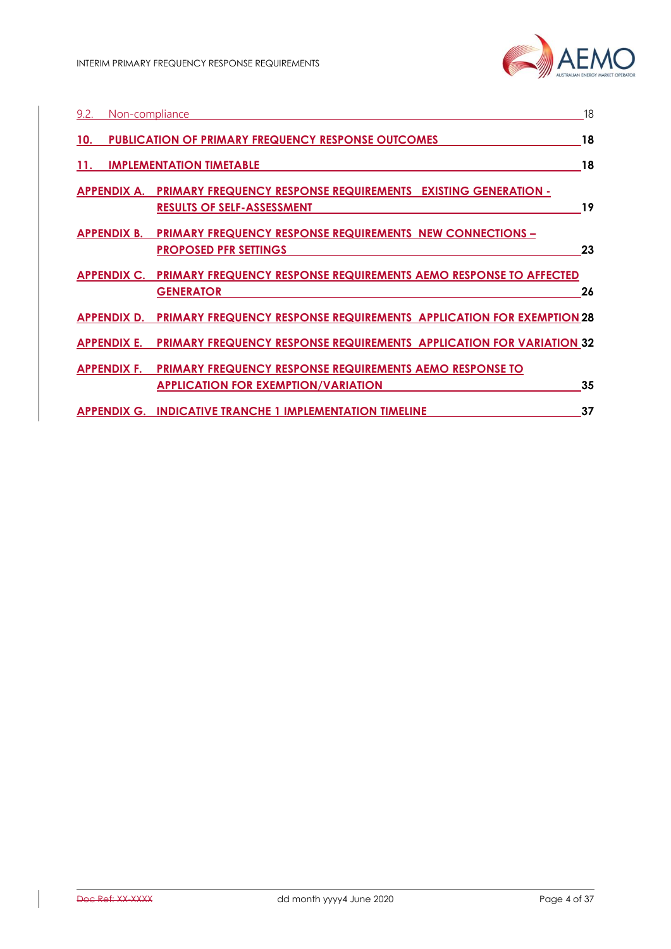| 9.2.<br>Non-compliance |                                                                                                               | 18 |
|------------------------|---------------------------------------------------------------------------------------------------------------|----|
| 10.                    | <b>PUBLICATION OF PRIMARY FREQUENCY RESPONSE OUTCOMES</b>                                                     | 18 |
| 11.                    | <b>IMPLEMENTATION TIMETABLE</b>                                                                               | 18 |
| APPENDIX A.            | <b>PRIMARY FREQUENCY RESPONSE REQUIREMENTS EXISTING GENERATION -</b><br><b>RESULTS OF SELF-ASSESSMENT</b>     | 19 |
| APPENDIX B.            | <b>PRIMARY FREQUENCY RESPONSE REQUIREMENTS NEW CONNECTIONS -</b><br><b>PROPOSED PFR SETTINGS</b>              | 23 |
| <b>APPENDIX C.</b>     | PRIMARY FREQUENCY RESPONSE REQUIREMENTS AEMO RESPONSE TO AFFECTED<br><b>GENERATOR</b>                         | 26 |
|                        | <b>APPENDIX D. PRIMARY FREQUENCY RESPONSE REQUIREMENTS APPLICATION FOR EXEMPTION 28</b>                       |    |
| APPENDIX E.            | <b>PRIMARY FREQUENCY RESPONSE REQUIREMENTS APPLICATION FOR VARIATION 32</b>                                   |    |
| <b>APPENDIX F.</b>     | <b>PRIMARY FREQUENCY RESPONSE REQUIREMENTS AEMO RESPONSE TO</b><br><b>APPLICATION FOR EXEMPTION/VARIATION</b> | 35 |
|                        | <b>APPENDIX G. INDICATIVE TRANCHE 1 IMPLEMENTATION TIMELINE</b>                                               | 37 |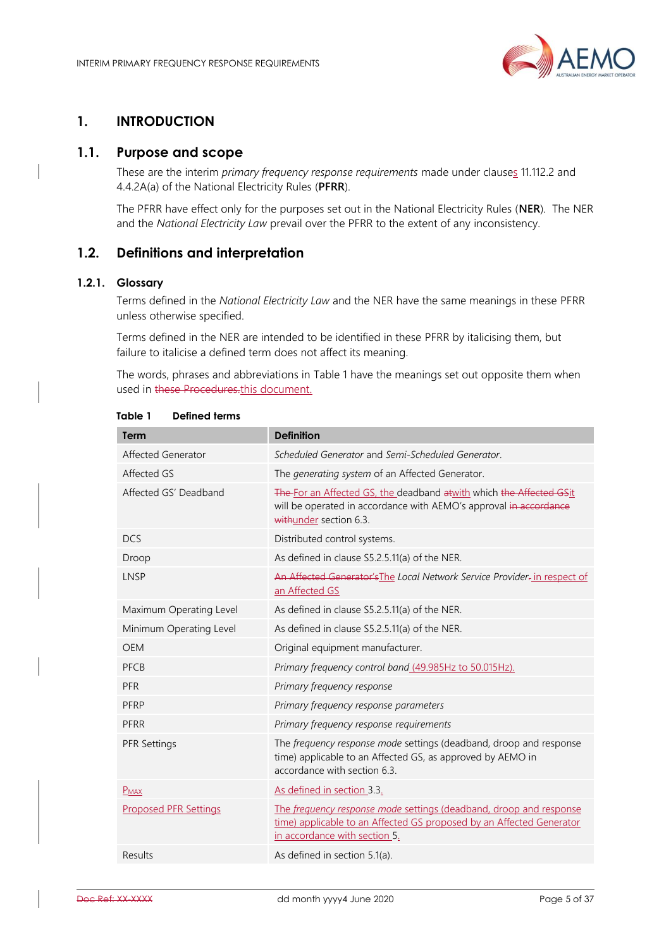

# <span id="page-4-0"></span>**1. INTRODUCTION**

## <span id="page-4-1"></span>**1.1. Purpose and scope**

These are the interim *primary frequency response requirements* made under clauses 11.112.2 and 4.4.2A(a) of the National Electricity Rules (**PFRR**).

The PFRR have effect only for the purposes set out in the National Electricity Rules (**NER**). The NER and the *National Electricity Law* prevail over the PFRR to the extent of any inconsistency.

## <span id="page-4-2"></span>**1.2. Definitions and interpretation**

## **1.2.1. Glossary**

Terms defined in the *National Electricity Law* and the NER have the same meanings in these PFRR unless otherwise specified.

Terms defined in the NER are intended to be identified in these PFRR by italicising them, but failure to italicise a defined term does not affect its meaning.

The words, phrases and abbreviations in Table 1 have the meanings set out opposite them when used in these Procedures.this document.

| Term                         | <b>Definition</b>                                                                                                                                                           |  |
|------------------------------|-----------------------------------------------------------------------------------------------------------------------------------------------------------------------------|--|
| Affected Generator           | Scheduled Generator and Semi-Scheduled Generator.                                                                                                                           |  |
| Affected GS                  | The generating system of an Affected Generator.                                                                                                                             |  |
| Affected GS' Deadband        | The For an Affected GS, the deadband at with which the Affected GSit<br>will be operated in accordance with AEMO's approval in accordance<br>withunder section 6.3.         |  |
| <b>DCS</b>                   | Distributed control systems.                                                                                                                                                |  |
| Droop                        | As defined in clause S5.2.5.11(a) of the NER.                                                                                                                               |  |
| <b>LNSP</b>                  | An Affected Generator's The Local Network Service Provider- in respect of<br>an Affected GS                                                                                 |  |
| Maximum Operating Level      | As defined in clause S5.2.5.11(a) of the NER.                                                                                                                               |  |
| Minimum Operating Level      | As defined in clause S5.2.5.11(a) of the NER.                                                                                                                               |  |
| <b>OEM</b>                   | Original equipment manufacturer.                                                                                                                                            |  |
| PFCB                         | Primary frequency control band (49.985Hz to 50.015Hz).                                                                                                                      |  |
| <b>PFR</b>                   | Primary frequency response                                                                                                                                                  |  |
| PFRP                         | Primary frequency response parameters                                                                                                                                       |  |
| PFRR                         | Primary frequency response requirements                                                                                                                                     |  |
| <b>PFR Settings</b>          | The frequency response mode settings (deadband, droop and response<br>time) applicable to an Affected GS, as approved by AEMO in<br>accordance with section 6.3.            |  |
| $P$ <sub>MAX</sub>           | As defined in section 3.3.                                                                                                                                                  |  |
| <b>Proposed PFR Settings</b> | The frequency response mode settings (deadband, droop and response<br>time) applicable to an Affected GS proposed by an Affected Generator<br>in accordance with section 5. |  |
| Results                      | As defined in section 5.1(a).                                                                                                                                               |  |

**Table 1 Defined terms**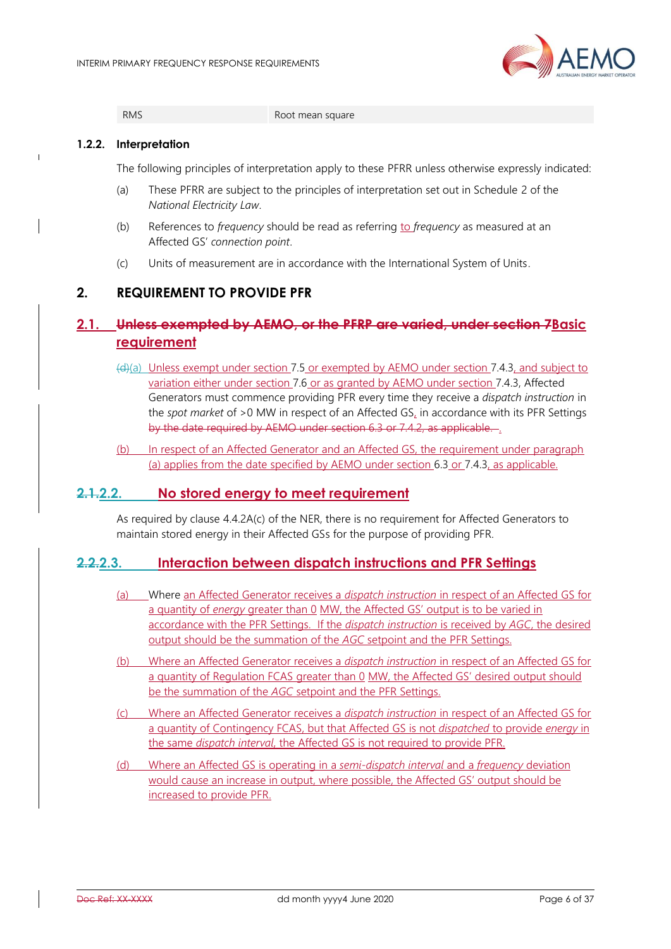

RMS Root mean square

#### **1.2.2. Interpretation**

The following principles of interpretation apply to these PFRR unless otherwise expressly indicated:

- (a) These PFRR are subject to the principles of interpretation set out in Schedule 2 of the *National Electricity Law*.
- (b) References to *frequency* should be read as referring to *frequency* as measured at an Affected GS' *connection point*.
- (c) Units of measurement are in accordance with the International System of Units.

# <span id="page-5-0"></span>**2. REQUIREMENT TO PROVIDE PFR**

# <span id="page-5-1"></span>**2.1. Unless exempted by AEMO, or the PFRP are varied, under section [7B](#page-10-0)asic requirement**

- $(d)$ (a) Unless exempt under section [7.5](#page-13-1) or exempted by AEMO under section [7.4.3,](#page-13-3) and subject to variation either under section [7.6](#page-13-2) or as granted by AEMO under section [7.4.3,](#page-13-3) Affected Generators must commence providing PFR every time they receive a *dispatch instruction* in the *spot market* of >0 MW in respect of an Affected GS, in accordance with its PFR Settings by the date required by AEMO under section [6.3](#page-9-3) or [7.4.2,](#page-13-4) as applicable. .
- (b) In respect of an Affected Generator and an Affected GS, the requirement under paragraph (a) applies from the date specified by AEMO under section [6.3](#page-9-3) or [7.4.3,](#page-13-3) as applicable.

# <span id="page-5-2"></span>**2.1.2.2. No stored energy to meet requirement**

As required by clause 4.4.2A(c) of the NER, there is no requirement for Affected Generators to maintain stored energy in their Affected GSs for the purpose of providing PFR.

## <span id="page-5-3"></span>**2.2.2.3. Interaction between dispatch instructions and PFR Settings**

- (a) Where an Affected Generator receives a *dispatch instruction* in respect of an Affected GS for a quantity of *energy* greater than 0 MW, the Affected GS' output is to be varied in accordance with the PFR Settings. If the *dispatch instruction* is received by *AGC*, the desired output should be the summation of the *AGC* setpoint and the PFR Settings.
- (b) Where an Affected Generator receives a *dispatch instruction* in respect of an Affected GS for a quantity of Regulation FCAS greater than 0 MW, the Affected GS' desired output should be the summation of the *AGC* setpoint and the PFR Settings.
- (c) Where an Affected Generator receives a *dispatch instruction* in respect of an Affected GS for a quantity of Contingency FCAS, but that Affected GS is not *dispatched* to provide *energy* in the same *dispatch interval*, the Affected GS is not required to provide PFR.
- (d) Where an Affected GS is operating in a *semi-dispatch interval* and a *frequency* deviation would cause an increase in output, where possible, the Affected GS' output should be increased to provide PFR.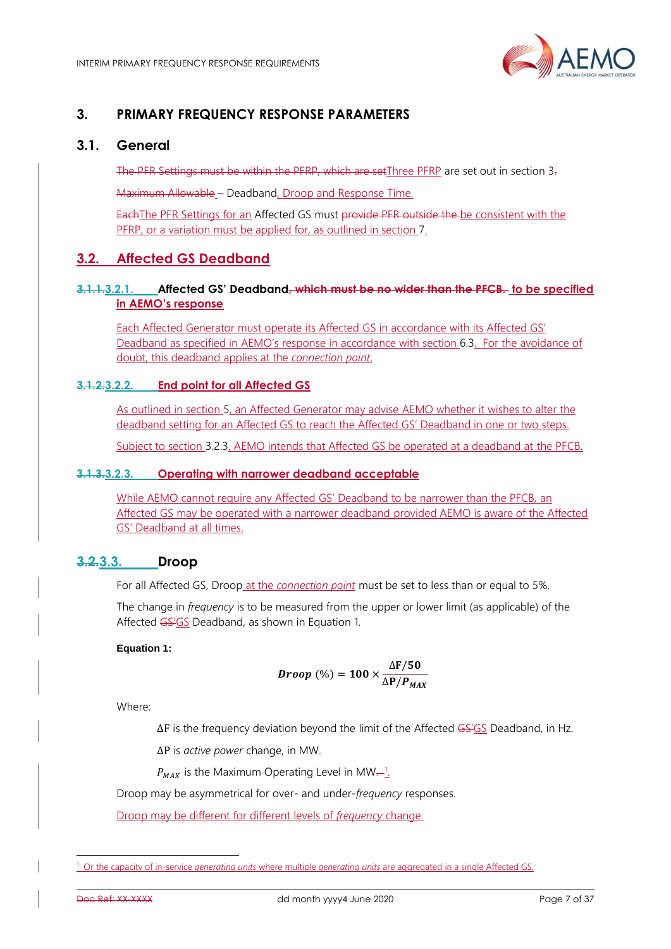

# <span id="page-6-0"></span>**3. PRIMARY FREQUENCY RESPONSE PARAMETERS**

## <span id="page-6-1"></span>**3.1. General**

The PFR Settings must be within the PFRP, which are setThree PFRP are set out in section [3.](#page-6-0)

Maximum Allowable – Deadband, Droop and Response Time.

EachThe PFR Settings for an Affected GS must provide PFR outside the be consistent with the PFRP, or a variation must be applied for, as outlined in section [7.](#page-10-0)

## <span id="page-6-2"></span>**3.2. Affected GS Deadband**

## **3.1.1.3.2.1. Affected GS' Deadband, which must be no wider than the PFCB. to be specified in AEMO's response**

Each Affected Generator must operate its Affected GS in accordance with its Affected GS' Deadband as specified in AEMO's response in accordance with section [6.3.](#page-9-3) For the avoidance of doubt, this deadband applies at the *connection point*.

## **3.1.2.3.2.2. End point for all Affected GS**

As outlined in section [5,](#page-8-1) an Affected Generator may advise AEMO whether it wishes to alter the deadband setting for an Affected GS to reach the Affected GS' Deadband in one or two steps.

Subject to section [3.2.3,](#page-6-4) AEMO intends that Affected GS be operated at a deadband at the PFCB.

## <span id="page-6-4"></span>**3.1.3.3.2.3. Operating with narrower deadband acceptable**

While AEMO cannot require any Affected GS' Deadband to be narrower than the PFCB, an Affected GS may be operated with a narrower deadband provided AEMO is aware of the Affected GS' Deadband at all times.

## <span id="page-6-3"></span>**3.2.3.3. Droop**

For all Affected GS, Droop at the *connection point* must be set to less than or equal to 5%.

The change in *frequency* is to be measured from the upper or lower limit (as applicable) of the Affected GS'GS Deadband, as shown in [Equation 1.](#page-6-5)

#### <span id="page-6-5"></span>**Equation 1:**

*Drop* (%) = 
$$
100 \times \frac{\Delta F/50}{\Delta P/P_{MAX}}
$$

Where:

∆F is the frequency deviation beyond the limit of the Affected GS'GS Deadband, in Hz.

∆P is *active power* change, in MW.

 $P_{MAX}$  is the Maximum Operating Level in MW—<sup>1</sup>.

Droop may be asymmetrical for over- and under-*frequency* responses.

Droop may be different for different levels of *frequency* change.

<sup>1</sup> Or the capacity of in-service *generating units* where multiple *generating units* are aggregated in a single Affected GS.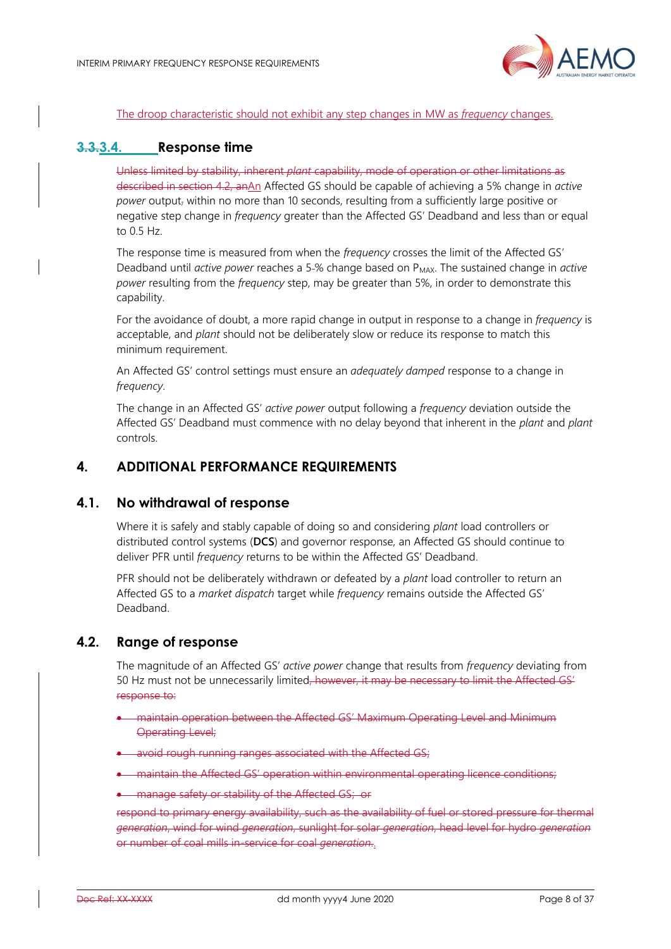

#### The droop characteristic should not exhibit any step changes in MW as *frequency* changes.

## <span id="page-7-0"></span>**3.3.3.4. Response time**

Unless limited by stability, inherent *plant* capability, mode of operation or other limitations as described in section [4.2,](#page-7-3) anAn Affected GS should be capable of achieving a 5% change in *active power* output, within no more than 10 seconds, resulting from a sufficiently large positive or negative step change in *frequency* greater than the Affected GS' Deadband and less than or equal to 0.5 Hz.

The response time is measured from when the *frequency* crosses the limit of the Affected GS' Deadband until *active power* reaches a 5-% change based on P<sub>MAX</sub>. The sustained change in *active power* resulting from the *frequency* step, may be greater than 5%, in order to demonstrate this capability.

For the avoidance of doubt, a more rapid change in output in response to a change in *frequency* is acceptable, and *plant* should not be deliberately slow or reduce its response to match this minimum requirement.

An Affected GS' control settings must ensure an *adequately damped* response to a change in *frequency*.

The change in an Affected GS' *active power* output following a *frequency* deviation outside the Affected GS' Deadband must commence with no delay beyond that inherent in the *plant* and *plant* controls.

## <span id="page-7-1"></span>**4. ADDITIONAL PERFORMANCE REQUIREMENTS**

## <span id="page-7-2"></span>**4.1. No withdrawal of response**

Where it is safely and stably capable of doing so and considering *plant* load controllers or distributed control systems (**DCS**) and governor response, an Affected GS should continue to deliver PFR until *frequency* returns to be within the Affected GS' Deadband.

PFR should not be deliberately withdrawn or defeated by a *plant* load controller to return an Affected GS to a *market dispatch* target while *frequency* remains outside the Affected GS' Deadband.

## <span id="page-7-3"></span>**4.2. Range of response**

The magnitude of an Affected GS' *active power* change that results from *frequency* deviating from 50 Hz must not be unnecessarily limited, however, it may be necessary to limit the Affected GS' response to:

- maintain operation between the Affected GS' Maximum Operating Level and Minimum Operating Level;
- avoid rough running ranges associated with the Affected GS:

• maintain the Affected GS' operation within environmental operating licence conditions;

• manage safety or stability of the Affected GS; or

respond to primary energy availability, such as the availability of fuel or stored pressure for thermal *generation*, wind for wind *generation*, sunlight for solar *generation*, head level for hydro *generation* or number of coal mills in-service for coal *generation*..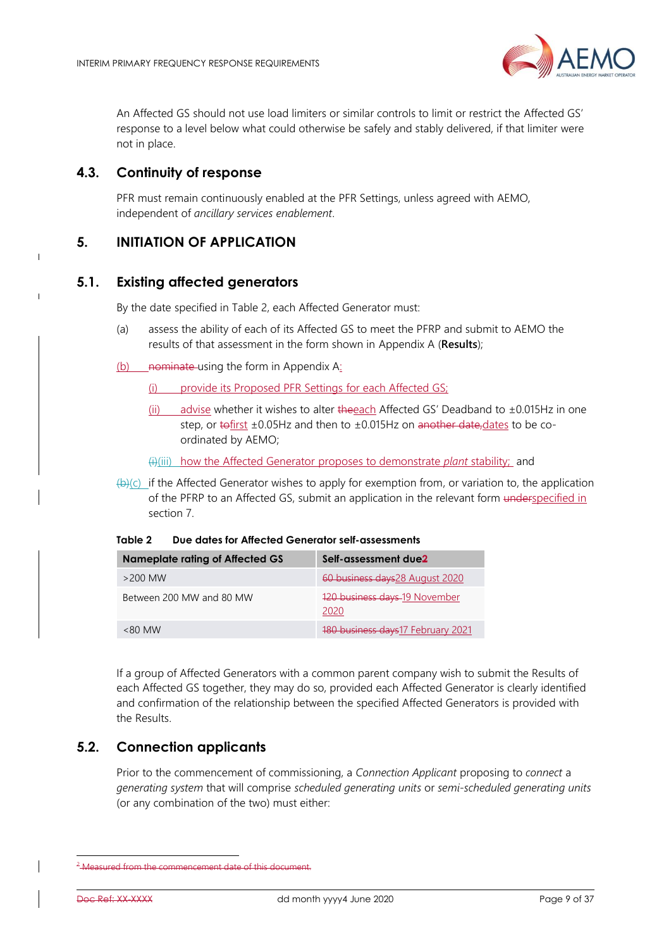

An Affected GS should not use load limiters or similar controls to limit or restrict the Affected GS' response to a level below what could otherwise be safely and stably delivered, if that limiter were not in place.

## <span id="page-8-0"></span>**4.3. Continuity of response**

 $\overline{\phantom{a}}$ 

PFR must remain continuously enabled at the PFR Settings, unless agreed with AEMO, independent of *ancillary services enablement*.

# <span id="page-8-1"></span>**5. INITIATION OF APPLICATION**

## <span id="page-8-2"></span>**5.1. Existing affected generators**

By the date specified in [Table 2,](#page-8-5) each Affected Generator must:

- <span id="page-8-4"></span>(a) assess the ability of each of its Affected GS to meet the PFRP and submit to AEMO the results of that assessment in the form shown in [Appendix A](#page-18-0) (**Results**);
- $(b)$  nominate-using the form in [Appendix A:](#page-18-0)

(i) provide its Proposed PFR Settings for each Affected GS;

(ii) advise whether it wishes to alter the each Affected GS' Deadband to  $\pm 0.015$ Hz in one step, or tofirst  $\pm 0.05$ Hz and then to  $\pm 0.015$ Hz on another date, dates to be coordinated by AEMO;

(i)(iii) how the Affected Generator proposes to demonstrate *plant* stability; and

 $(b)(c)$  if the Affected Generator wishes to apply for exemption from, or variation to, the application of the PFRP to an Affected GS, submit an application in the relevant form underspecified in section [7.](#page-10-0)

<span id="page-8-5"></span>

|  | Table 2 | Due dates for Affected Generator self-assessments |
|--|---------|---------------------------------------------------|
|--|---------|---------------------------------------------------|

| Nameplate rating of Affected GS | Self-assessment due <sup>2</sup>      |
|---------------------------------|---------------------------------------|
| $>$ 200 MW                      | 60 business days 28 August 2020       |
| Between 200 MW and 80 MW        | 120 business days 19 November<br>2020 |
| $<80$ MW                        | 180 business days 17 February 2021    |

If a group of Affected Generators with a common parent company wish to submit the Results of each Affected GS together, they may do so, provided each Affected Generator is clearly identified and confirmation of the relationship between the specified Affected Generators is provided with the Results.

# <span id="page-8-3"></span>**5.2. Connection applicants**

Prior to the commencement of commissioning, a *Connection Applicant* proposing to *connect* a *generating system* that will comprise *scheduled generating units* or *semi-scheduled generating units* (or any combination of the two) must either:

<sup>2</sup> a measured from the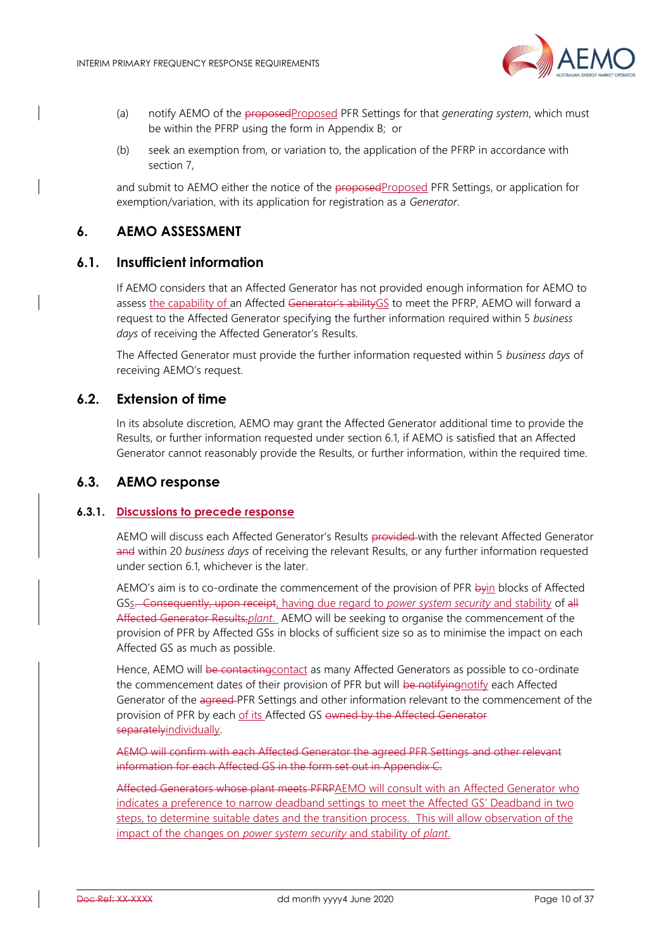

- (a) notify AEMO of the proposedProposed PFR Settings for that *generating system*, which must be within the PFRP using the form in [Appendix B;](#page-22-0) or
- (b) seek an exemption from, or variation to, the application of the PFRP in accordance with section [7,](#page-10-0)

and submit to AEMO either the notice of the proposedProposed PFR Settings, or application for exemption/variation, with its application for registration as a *Generator*.

## <span id="page-9-0"></span>**6. AEMO ASSESSMENT**

## <span id="page-9-1"></span>**6.1. Insufficient information**

If AEMO considers that an Affected Generator has not provided enough information for AEMO to assess the capability of an Affected Generator's ability GS to meet the PFRP, AEMO will forward a request to the Affected Generator specifying the further information required within 5 *business days* of receiving the Affected Generator's Results.

The Affected Generator must provide the further information requested within 5 *business days* of receiving AEMO's request.

## <span id="page-9-2"></span>**6.2. Extension of time**

In its absolute discretion, AEMO may grant the Affected Generator additional time to provide the Results, or further information requested under section [6.1,](#page-9-1) if AEMO is satisfied that an Affected Generator cannot reasonably provide the Results, or further information, within the required time.

## <span id="page-9-3"></span>**6.3. AEMO response**

#### **6.3.1. Discussions to precede response**

AEMO will discuss each Affected Generator's Results provided with the relevant Affected Generator and within 20 *business days* of receiving the relevant Results, or any further information requested under section [6.1,](#page-9-1) whichever is the later.

AEMO's aim is to co-ordinate the commencement of the provision of PFR byin blocks of Affected GSs. Consequently, upon receipt, having due regard to *power system security* and stability of all Affected Generator Results,*plant*. AEMO will be seeking to organise the commencement of the provision of PFR by Affected GSs in blocks of sufficient size so as to minimise the impact on each Affected GS as much as possible.

Hence, AEMO will be contacting contact as many Affected Generators as possible to co-ordinate the commencement dates of their provision of PFR but will be notifying notify each Affected Generator of the agreed PFR Settings and other information relevant to the commencement of the provision of PFR by each of its Affected GS owned by the Affected Generator separatelyindividually.

AEMO will confirm with each Affected Generator the agreed PFR Settings and other relevant information for each Affected GS in the form set out in [Appendix C.](#page-25-0)

Affected Generators whose plant meets PFRPAEMO will consult with an Affected Generator who indicates a preference to narrow deadband settings to meet the Affected GS' Deadband in two steps, to determine suitable dates and the transition process. This will allow observation of the impact of the changes on *power system security* and stability of *plant*.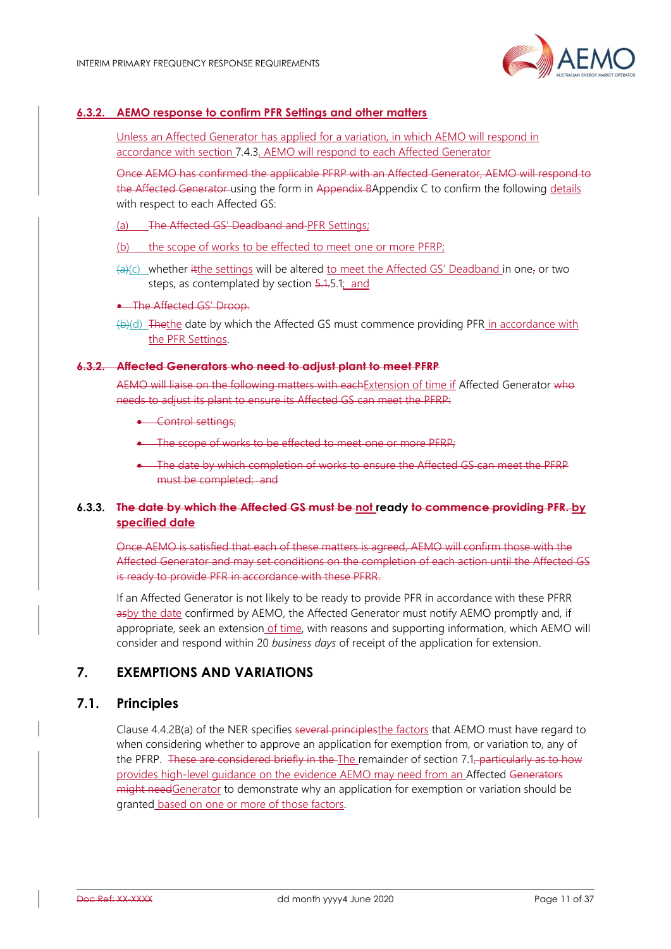

## **6.3.2. AEMO response to confirm PFR Settings and other matters**

Unless an Affected Generator has applied for a variation, in which AEMO will respond in accordance with section [7.4.3,](#page-13-3) AEMO will respond to each Affected Generator

Once AEMO has confirmed the applicable PFRP with an Affected Generator, AEMO will respond to the Affected Generator using the form in [Appendix B](#page-22-0)[Appendix C](#page-25-0) to confirm the following details with respect to each Affected GS:

- (a) The Affected GS' Deadband and PFR Settings;
- (b) the scope of works to be effected to meet one or more PFRP;
- $\left( \frac{1}{2} \right)$ (c) whether it the settings will be altered to meet the Affected GS' Deadband in one, or two steps, as contemplated by section [5.1.5.1;](#page-8-2) and
- The Affected GS' Droop.
- (b)(d) Thethe date by which the Affected GS must commence providing PFR in accordance with the PFR Settings.

#### **6.3.2. Affected Generators who need to adjust plant to meet PFRP**

AEMO will liaise on the following matters with eachExtension of time if Affected Generator who needs to adjust its plant to ensure its Affected GS can meet the PFRP:

- Control settings:
- The scope of works to be effected to meet one or more PFRP;
- The date by which completion of works to ensure the Affected GS can meet the PFRP must be completed; and

## **6.3.3. The date by which the Affected GS must be not ready to commence providing PFR. by specified date**

Once AEMO is satisfied that each of these matters is agreed, AEMO will confirm those with the Affected Generator and may set conditions on the completion of each action until the Affected GS is ready to provide PFR in accordance with these PFRR.

If an Affected Generator is not likely to be ready to provide PFR in accordance with these PFRR asby the date confirmed by AEMO, the Affected Generator must notify AEMO promptly and, if appropriate, seek an extension of time, with reasons and supporting information, which AEMO will consider and respond within 20 *business days* of receipt of the application for extension.

# <span id="page-10-0"></span>**7. EXEMPTIONS AND VARIATIONS**

## <span id="page-10-1"></span>**7.1. Principles**

Clause 4.4.2B(a) of the NER specifies several principles the factors that AEMO must have regard to when considering whether to approve an application for exemption from, or variation to, any of the PFRP. These are considered briefly in the The remainder of section [7.1,](#page-10-1) particularly as to how provides high-level guidance on the evidence AEMO may need from an Affected Generators might needGenerator to demonstrate why an application for exemption or variation should be granted based on one or more of those factors.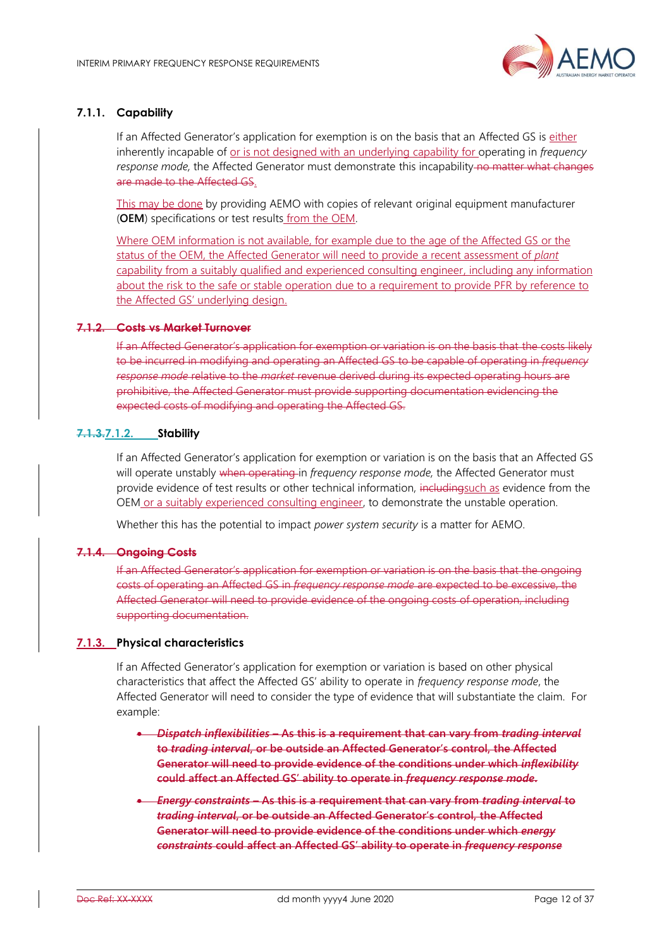

## **7.1.1. Capability**

If an Affected Generator's application for exemption is on the basis that an Affected GS is either inherently incapable of or is not designed with an underlying capability for operating in *frequency*  response mode, the Affected Generator must demonstrate this incapability no matter what changes are made to the Affected GS.

This may be done by providing AEMO with copies of relevant original equipment manufacturer (**OEM**) specifications or test results from the OEM.

Where OEM information is not available, for example due to the age of the Affected GS or the status of the OEM, the Affected Generator will need to provide a recent assessment of *plant* capability from a suitably qualified and experienced consulting engineer, including any information about the risk to the safe or stable operation due to a requirement to provide PFR by reference to the Affected GS' underlying design.

#### **7.1.2. Costs vs Market Turnover**

If an Affected Generator's application for exemption or variation is on the basis that the costs likely to be incurred in modifying and operating an Affected GS to be capable of operating in *frequency response mode* relative to the *market* revenue derived during its expected operating hours are prohibitive, the Affected Generator must provide supporting documentation evidencing the expected costs of modifying and operating the Affected GS.

#### **7.1.3.7.1.2. Stability**

If an Affected Generator's application for exemption or variation is on the basis that an Affected GS will operate unstably when operating in *frequency response mode,* the Affected Generator must provide evidence of test results or other technical information, includingsuch as evidence from the OEM or a suitably experienced consulting engineer, to demonstrate the unstable operation.

Whether this has the potential to impact *power system security* is a matter for AEMO.

#### **7.1.4. Ongoing Costs**

If an Affected Generator's application for exemption or variation is on the basis that the ongoing costs of operating an Affected GS in *frequency response mode* are expected to be excessive, the Affected Generator will need to provide evidence of the ongoing costs of operation, including supporting documentation.

#### **7.1.3. Physical characteristics**

If an Affected Generator's application for exemption or variation is based on other physical characteristics that affect the Affected GS' ability to operate in *frequency response mode*, the Affected Generator will need to consider the type of evidence that will substantiate the claim. For example:

- *Dispatch inflexibilities* **– As this is a requirement that can vary from** *trading interval* **to** *trading interval***, or be outside an Affected Generator's control, the Affected Generator will need to provide evidence of the conditions under which** *inflexibility* **could affect an Affected GS' ability to operate in** *frequency response mode***.**
- *Energy constraints* **– As this is a requirement that can vary from** *trading interval* **to**  *trading interval***, or be outside an Affected Generator's control, the Affected Generator will need to provide evidence of the conditions under which** *energy constraints* **could affect an Affected GS' ability to operate in** *frequency response*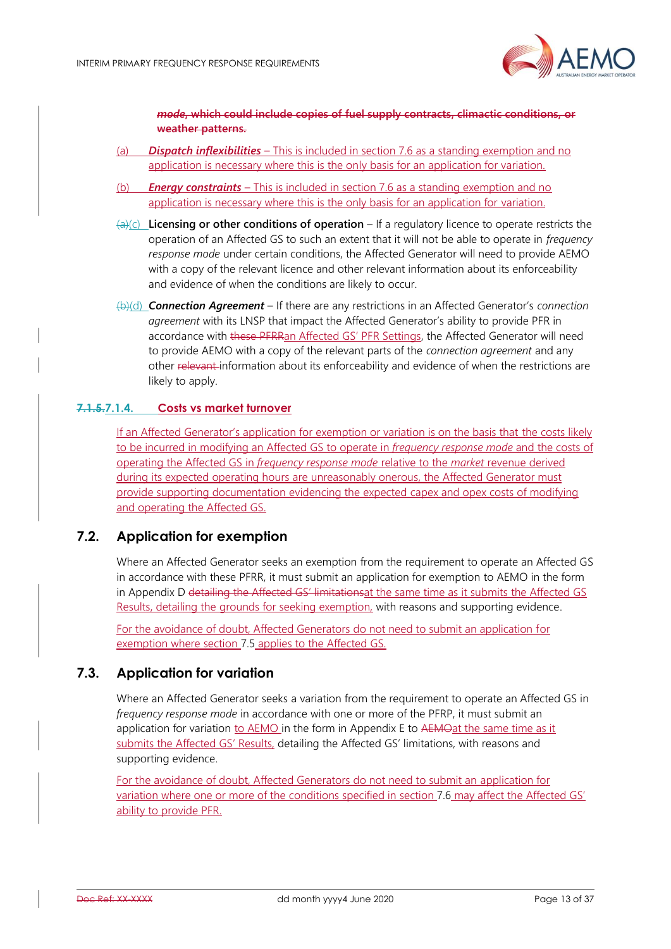

*mode***, which could include copies of fuel supply contracts, climactic conditions, or weather patterns.**

- (a) *Dispatch inflexibilities* This is included in section 7.6 as a standing exemption and no application is necessary where this is the only basis for an application for variation.
- (b) *Energy constraints* This is included in section 7.6 as a standing exemption and no application is necessary where this is the only basis for an application for variation.
- (a)(c) **Licensing or other conditions of operation** If a regulatory licence to operate restricts the operation of an Affected GS to such an extent that it will not be able to operate in *frequency response mode* under certain conditions, the Affected Generator will need to provide AEMO with a copy of the relevant licence and other relevant information about its enforceability and evidence of when the conditions are likely to occur.
- (b)(d) *Connection Agreement* If there are any restrictions in an Affected Generator's *connection agreement* with its LNSP that impact the Affected Generator's ability to provide PFR in accordance with these PFRRan Affected GS' PFR Settings, the Affected Generator will need to provide AEMO with a copy of the relevant parts of the *connection agreement* and any other relevant information about its enforceability and evidence of when the restrictions are likely to apply.

## **7.1.5.7.1.4. Costs vs market turnover**

If an Affected Generator's application for exemption or variation is on the basis that the costs likely to be incurred in modifying an Affected GS to operate in *frequency response mode* and the costs of operating the Affected GS in *frequency response mode* relative to the *market* revenue derived during its expected operating hours are unreasonably onerous, the Affected Generator must provide supporting documentation evidencing the expected capex and opex costs of modifying and operating the Affected GS.

## <span id="page-12-0"></span>**7.2. Application for exemption**

Where an Affected Generator seeks an exemption from the requirement to operate an Affected GS in accordance with these PFRR, it must submit an application for exemption to AEMO in the form in [Appendix D](#page-27-0) detailing the Affected GS' limitationsat the same time as it submits the Affected GS Results, detailing the grounds for seeking exemption, with reasons and supporting evidence.

For the avoidance of doubt, Affected Generators do not need to submit an application for exemption where section [7.5](#page-13-1) applies to the Affected GS.

## <span id="page-12-1"></span>**7.3. Application for variation**

Where an Affected Generator seeks a variation from the requirement to operate an Affected GS in *frequency response mode* in accordance with one or more of the PFRP, it must submit an application for variation to AEMO in the form in [Appendix E](#page-31-0) to AEMOat the same time as it submits the Affected GS' Results, detailing the Affected GS' limitations, with reasons and supporting evidence.

For the avoidance of doubt, Affected Generators do not need to submit an application for variation where one or more of the conditions specified in sectio[n 7.6](#page-13-2) may affect the Affected GS' ability to provide PFR.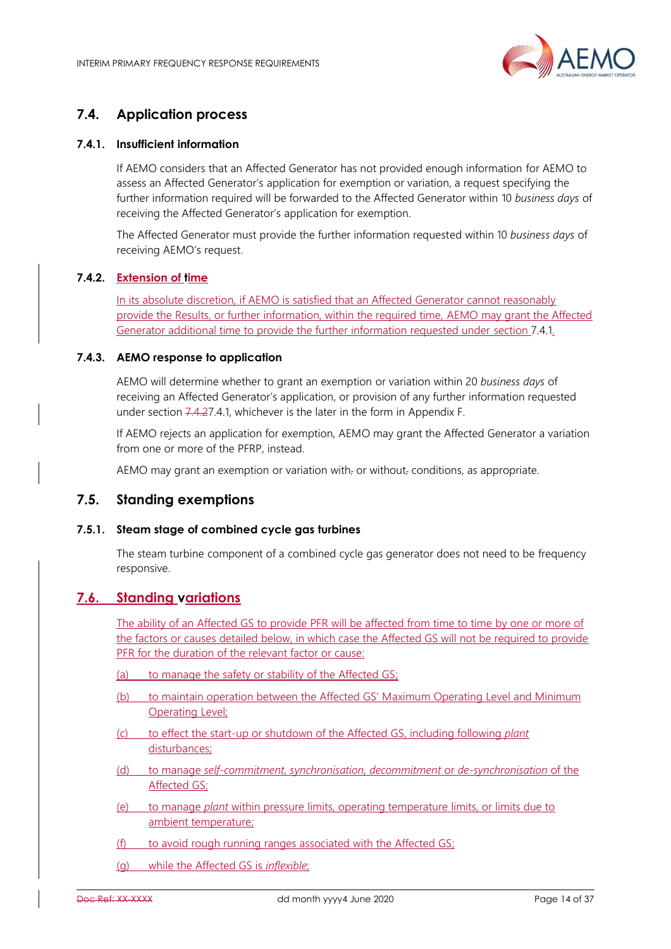

# <span id="page-13-0"></span>**7.4. Application process**

## <span id="page-13-5"></span>**7.4.1. Insufficient information**

If AEMO considers that an Affected Generator has not provided enough information for AEMO to assess an Affected Generator's application for exemption or variation, a request specifying the further information required will be forwarded to the Affected Generator within 10 *business days* of receiving the Affected Generator's application for exemption.

The Affected Generator must provide the further information requested within 10 *business days* of receiving AEMO's request.

## <span id="page-13-4"></span>**7.4.2. Extension of time**

In its absolute discretion, if AEMO is satisfied that an Affected Generator cannot reasonably provide the Results, or further information, within the required time, AEMO may grant the Affected Generator additional time to provide the further information requested under section [7.4.1.](#page-13-5)

#### <span id="page-13-3"></span>**7.4.3. AEMO response to application**

AEMO will determine whether to grant an exemption or variation within 20 *business days* of receiving an Affected Generator's application, or provision of any further information requested under section [7.4.2](#page-13-4)[7.4.1,](#page-13-5) whichever is the later in the form in [Appendix F.](#page-34-0) 

If AEMO rejects an application for exemption, AEMO may grant the Affected Generator a variation from one or more of the PFRP, instead.

AEMO may grant an exemption or variation with<sub> $\bar{r}$ </sub> or without<sub> $\bar{r}$ </sub> conditions, as appropriate.

## <span id="page-13-1"></span>**7.5. Standing exemptions**

#### **7.5.1. Steam stage of combined cycle gas turbines**

The steam turbine component of a combined cycle gas generator does not need to be frequency responsive.

## <span id="page-13-2"></span>**7.6. Standing variations**

The ability of an Affected GS to provide PFR will be affected from time to time by one or more of the factors or causes detailed below, in which case the Affected GS will not be required to provide PFR for the duration of the relevant factor or cause:

- (a) to manage the safety or stability of the Affected GS;
- (b) to maintain operation between the Affected GS' Maximum Operating Level and Minimum Operating Level;
- (c) to effect the start-up or shutdown of the Affected GS, including following *plant* disturbances;
- (d) to manage *self-commitment*, *synchronisation, decommitment* or *de-synchronisation* of the Affected GS;
- (e) to manage *plant* within pressure limits, operating temperature limits, or limits due to ambient temperature;
- (f) to avoid rough running ranges associated with the Affected GS;
- (g) while the Affected GS is *inflexible*;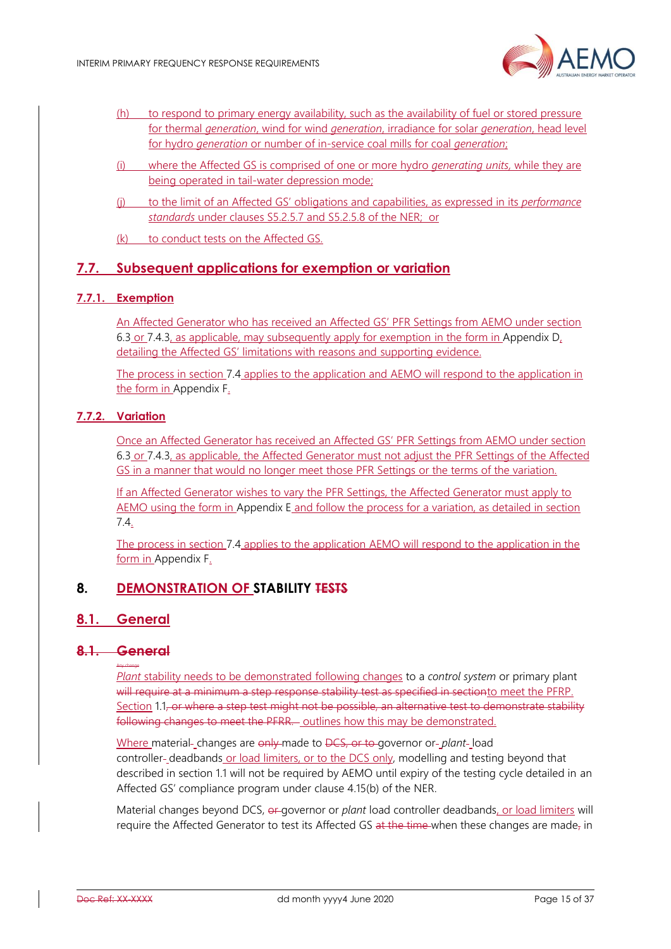

- (h) to respond to primary energy availability, such as the availability of fuel or stored pressure for thermal *generation*, wind for wind *generation*, irradiance for solar *generation*, head level for hydro *generation* or number of in-service coal mills for coal *generation*;
- (i) where the Affected GS is comprised of one or more hydro *generating units,* while they are being operated in tail-water depression mode;
- (j) to the limit of an Affected GS' obligations and capabilities, as expressed in its *performance standards* under clauses S5.2.5.7 and S5.2.5.8 of the NER; or
- (k) to conduct tests on the Affected GS.

## <span id="page-14-0"></span>**7.7. Subsequent applications for exemption or variation**

## **7.7.1. Exemption**

An Affected Generator who has received an Affected GS' PFR Settings from AEMO under section [6.3](#page-9-3) or [7.4.3,](#page-13-3) as applicable, may subsequently apply for exemption in the form in [Appendix D,](#page-27-0) detailing the Affected GS' limitations with reasons and supporting evidence.

The process in section [7.4](#page-13-0) applies to the application and AEMO will respond to the application in the form in [Appendix F.](#page-34-0)

## **7.7.2. Variation**

Once an Affected Generator has received an Affected GS' PFR Settings from AEMO under section [6.3](#page-9-3) or [7.4.3,](#page-13-3) as applicable, the Affected Generator must not adjust the PFR Settings of the Affected GS in a manner that would no longer meet those PFR Settings or the terms of the variation.

If an Affected Generator wishes to vary the PFR Settings, the Affected Generator must apply to AEMO using the form in [Appendix E](#page-31-0) and follow the process for a variation, as detailed in section [7.4.](#page-13-0)

The process in section [7.4](#page-13-0) applies to the application AEMO will respond to the application in the form in Appendix F.

## <span id="page-14-1"></span>**8. DEMONSTRATION OF STABILITY TESTS**

## <span id="page-14-2"></span>**8.1. General**

#### **8.1. General** Any change

*Plant* stability needs to be demonstrated following changes to a *control system* or primary plant will require at a minimum a step response stability test as specified in sectionto meet the PFRP. Section [1.1,](#page-15-0) or where a step test might not be possible, an alternative test to demonstrate stability following changes to meet the PFRR. outlines how this may be demonstrated.

Where material-changes are only made to DCS, or to governor or-*plant*-load controller-deadbands or load limiters, or to the DCS only, modelling and testing beyond that described in section [1.1](#page-15-0) will not be required by AEMO until expiry of the testing cycle detailed in an Affected GS' compliance program under clause 4.15(b) of the NER.

Material changes beyond DCS,  $\theta$  governor or *plant* load controller deadbands, or load limiters will require the Affected Generator to test its Affected GS at the time when these changes are made, in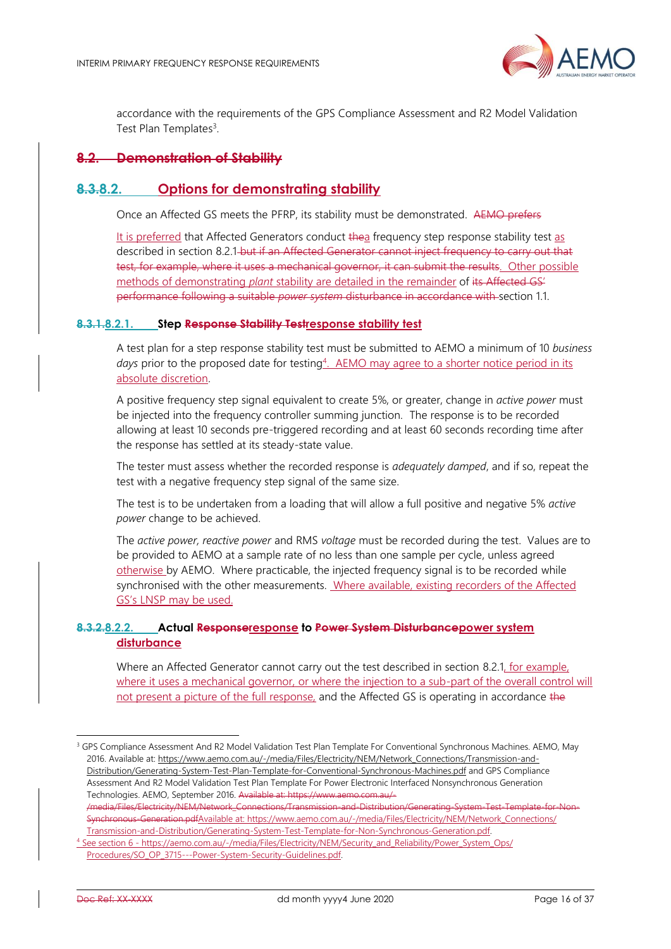

accordance with the requirements of the GPS Compliance Assessment and R2 Model Validation Test Plan Templates<sup>3</sup>.

## <span id="page-15-0"></span>**8.2. Demonstration of Stability**

## **8.3.8.2. Options for demonstrating stability**

Once an Affected GS meets the PFRP, its stability must be demonstrated. AEMO prefers

It is preferred that Affected Generators conduct thea frequency step response stability test as described in section [8.2.1](#page-15-1) but if an Affected Generator cannot inject frequency to carry out that test, for example, where it uses a mechanical governor, it can submit the results. Other possible methods of demonstrating *plant* stability are detailed in the remainder of its Affected GS' performance following a suitable *power system* disturbance in accordance with section [1.1.](#page-15-0)

#### <span id="page-15-1"></span>**8.3.1.8.2.1. Step Response Stability Testresponse stability test**

A test plan for a step response stability test must be submitted to AEMO a minimum of 10 *business*  days prior to the proposed date for testing<sup>4</sup>. AEMO may agree to a shorter notice period in its absolute discretion.

A positive frequency step signal equivalent to create 5%, or greater, change in *active power* must be injected into the frequency controller summing junction. The response is to be recorded allowing at least 10 seconds pre-triggered recording and at least 60 seconds recording time after the response has settled at its steady-state value.

The tester must assess whether the recorded response is *adequately damped*, and if so, repeat the test with a negative frequency step signal of the same size.

The test is to be undertaken from a loading that will allow a full positive and negative 5% *active power* change to be achieved.

The *active power, reactive power* and RMS *voltage* must be recorded during the test. Values are to be provided to AEMO at a sample rate of no less than one sample per cycle, unless agreed otherwise by AEMO. Where practicable, the injected frequency signal is to be recorded while synchronised with the other measurements. Where available, existing recorders of the Affected GS's LNSP may be used.

## **8.3.2.8.2.2. Actual Responseresponse to Power System Disturbancepower system disturbance**

Where an Affected Generator cannot carry out the test described in section [8.2.1,](#page-15-1) for example, where it uses a mechanical governor, or where the injection to a sub-part of the overall control will not present a picture of the full response, and the Affected GS is operating in accordance the

/media/Files/Electricity/NEM/Network\_Connections/Transmission-and-Distribution/Generating-System-Synchronous-Generation.pdfAvailable at[: https://www.aemo.com.au/-/media/Files/Electricity/NEM/Network\\_Connections/](https://www.aemo.com.au/-/media/Files/Electricity/NEM/Network_Connections/Transmission-and-Distribution/Generating-System-Test-Template-for-Non-Synchronous-Generation.pdf) [Transmission-and-Distribution/Generating-System-Test-Template-for-Non-Synchronous-Generation.pdf.](https://www.aemo.com.au/-/media/Files/Electricity/NEM/Network_Connections/Transmission-and-Distribution/Generating-System-Test-Template-for-Non-Synchronous-Generation.pdf)

<sup>&</sup>lt;sup>3</sup> GPS Compliance Assessment And R2 Model Validation Test Plan Template For Conventional Synchronous Machines. AEMO, May 2016. Available at[: https://www.aemo.com.au/-/media/Files/Electricity/NEM/Network\\_Connections/Transmission-and-](https://www.aemo.com.au/-/media/Files/Electricity/NEM/Network_Connections/Transmission-and-Distribution/Generating-System-Test-Plan-Template-for-Conventional-Synchronous-Machines.pdf)[Distribution/Generating-System-Test-Plan-Template-for-Conventional-Synchronous-Machines.pdf](https://www.aemo.com.au/-/media/Files/Electricity/NEM/Network_Connections/Transmission-and-Distribution/Generating-System-Test-Plan-Template-for-Conventional-Synchronous-Machines.pdf) and GPS Compliance Assessment And R2 Model Validation Test Plan Template For Power Electronic Interfaced Nonsynchronous Generation Technologies. AEMO, September 2016. Available at: https://www.aer

See section 6 - [https://aemo.com.au/-/media/Files/Electricity/NEM/Security\\_and\\_Reliability/Power\\_System\\_Ops/](https://aemo.com.au/-/media/Files/Electricity/NEM/Security_and_Reliability/Power_System_Ops/Procedures/SO_OP_3715---Power-System-Security-Guidelines.pdf) [Procedures/SO\\_OP\\_3715---Power-System-Security-Guidelines.pdf.](https://aemo.com.au/-/media/Files/Electricity/NEM/Security_and_Reliability/Power_System_Ops/Procedures/SO_OP_3715---Power-System-Security-Guidelines.pdf)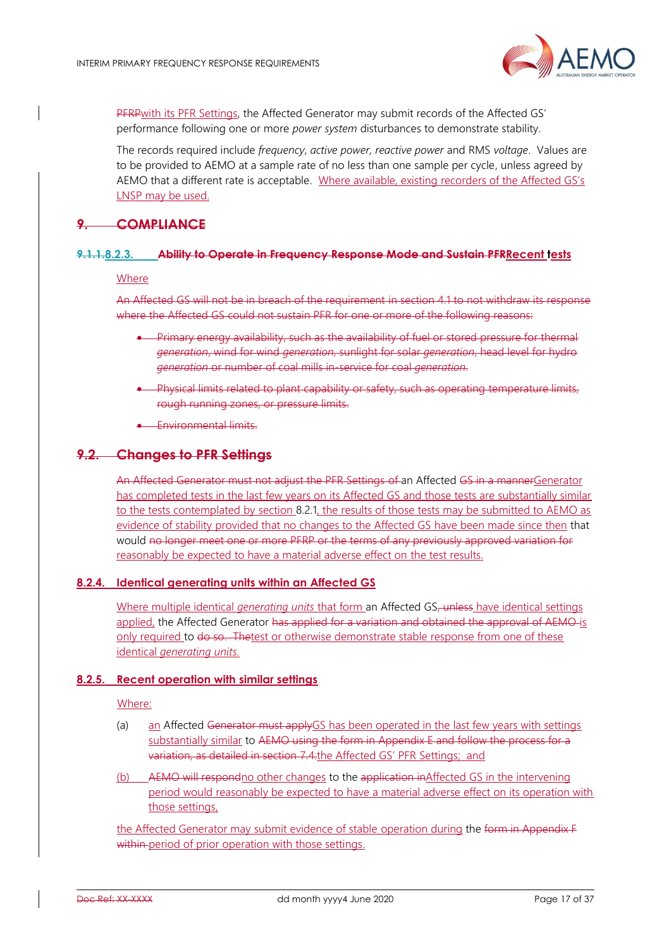

PFRPwith its PFR Settings, the Affected Generator may submit records of the Affected GS' performance following one or more *power system* disturbances to demonstrate stability.

The records required include *frequency*, *active power, reactive power* and RMS *voltage*. Values are to be provided to AEMO at a sample rate of no less than one sample per cycle, unless agreed by AEMO that a different rate is acceptable. Where available, existing recorders of the Affected GS's LNSP may be used.

## **9. COMPLIANCE**

#### **9.1.1.8.2.3. Ability to Operate in Frequency Response Mode and Sustain PFRRecent tests**

#### Where

An Affected GS will not be in breach of the requirement in section [4.1](#page-7-2) to not withdraw its response where the Affected GS could not sustain PFR for one or more of the following reasons:

- Primary energy availability, such as the availability of fuel or stored pressure for thermal *generation*, wind for wind *generation*, sunlight for solar *generation*, head level for hydro *generation* or number of coal mills in-service for coal *generation*.
- Physical limits related to plant capability or safety, such as operating temperature limits, rough running zones, or pressure limits.
- Environmental limits.

## **9.2. Changes to PFR Settings**

An Affected Generator must not adjust the PFR Settings of an Affected GS in a mannerGenerator has completed tests in the last few years on its Affected GS and those tests are substantially similar to the tests contemplated by section [8.2.1,](#page-15-1) the results of those tests may be submitted to AEMO as evidence of stability provided that no changes to the Affected GS have been made since then that would no longer meet one or more PFRP or the terms of any previously approved variation for reasonably be expected to have a material adverse effect on the test results.

#### **8.2.4. Identical generating units within an Affected GS**

Where multiple identical *generating units* that form an Affected GS<del>, unless</del> have identical settings applied, the Affected Generator has applied for a variation and obtained the approval of AEMO is only required to do so. Thetest or otherwise demonstrate stable response from one of these identical *generating units.*

#### **8.2.5. Recent operation with similar settings**

#### Where:

- (a) an Affected Generator must applyGS has been operated in the last few years with settings substantially similar to AEMO using the form in [Appendix E](#page-31-0) and follow the process for a variation, as detailed in section [7.4.](#page-13-0)the Affected GS' PFR Settings; and
- (b) AEMO will respondno other changes to the application inAffected GS in the intervening period would reasonably be expected to have a material adverse effect on its operation with those settings,

the Affected Generator may submit evidence of stable operation during the form in [Appendix F](#page-34-0) within period of prior operation with those settings.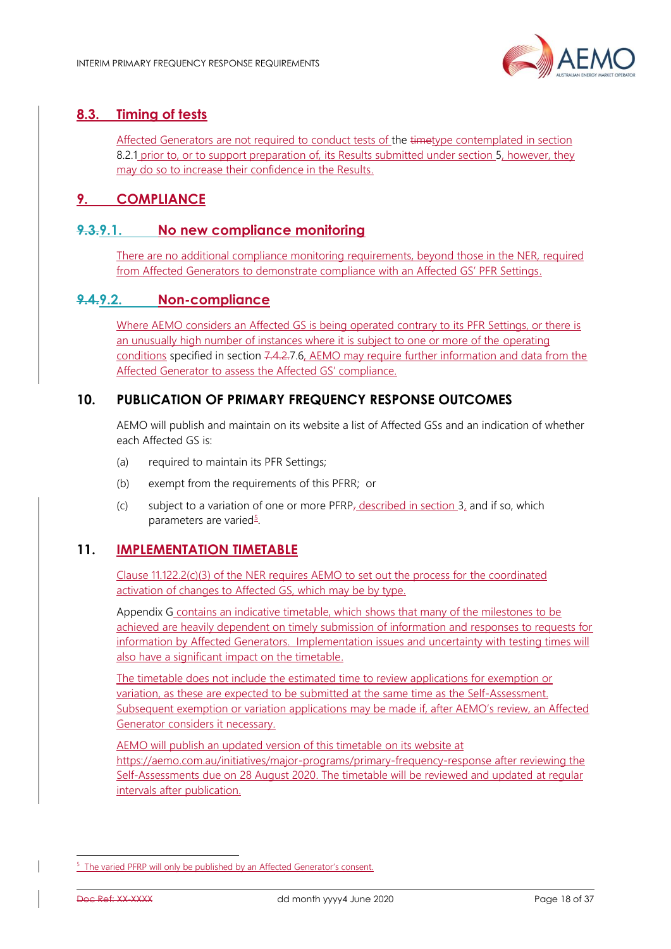

# <span id="page-17-0"></span>**8.3. Timing of tests**

Affected Generators are not required to conduct tests of the timetype contemplated in section [8.2.1](#page-15-1) prior to, or to support preparation of, its Results submitted under section [5,](#page-8-1) however, they may do so to increase their confidence in the Results.

# <span id="page-17-1"></span>**9. COMPLIANCE**

## <span id="page-17-2"></span>**9.3.9.1. No new compliance monitoring**

There are no additional compliance monitoring requirements, beyond those in the NER, required from Affected Generators to demonstrate compliance with an Affected GS' PFR Settings.

## <span id="page-17-3"></span>**9.4.9.2. Non-compliance**

Where AEMO considers an Affected GS is being operated contrary to its PFR Settings, or there is an unusually high number of instances where it is subject to one or more of the operating conditions specified in section [7.4.2](#page-13-4)[.7.6,](#page-13-2) AEMO may require further information and data from the Affected Generator to assess the Affected GS' compliance.

## <span id="page-17-4"></span>**10. PUBLICATION OF PRIMARY FREQUENCY RESPONSE OUTCOMES**

AEMO will publish and maintain on its website a list of Affected GSs and an indication of whether each Affected GS is:

- (a) required to maintain its PFR Settings;
- (b) exempt from the requirements of this PFRR; or
- (c) subject to a variation of one or more  $PFRP<sub>7</sub>$  described in section [3,](#page-6-0) and if so, which parameters are varied<sup>5</sup>.

## <span id="page-17-5"></span>**11. IMPLEMENTATION TIMETABLE**

Clause 11.122.2(c)(3) of the NER requires AEMO to set out the process for the coordinated activation of changes to Affected GS, which may be by type.

[Appendix G](#page-36-0) contains an indicative timetable, which shows that many of the milestones to be achieved are heavily dependent on timely submission of information and responses to requests for information by Affected Generators. Implementation issues and uncertainty with testing times will also have a significant impact on the timetable.

The timetable does not include the estimated time to review applications for exemption or variation, as these are expected to be submitted at the same time as the Self-Assessment. Subsequent exemption or variation applications may be made if, after AEMO's review, an Affected Generator considers it necessary.

AEMO will publish an updated version of this timetable on its website at <https://aemo.com.au/initiatives/major-programs/primary-frequency-response> after reviewing the Self-Assessments due on 28 August 2020. The timetable will be reviewed and updated at regular intervals after publication.

<sup>&</sup>lt;sup>5</sup> The varied PFRP will only be published by an Affected Generator's consent.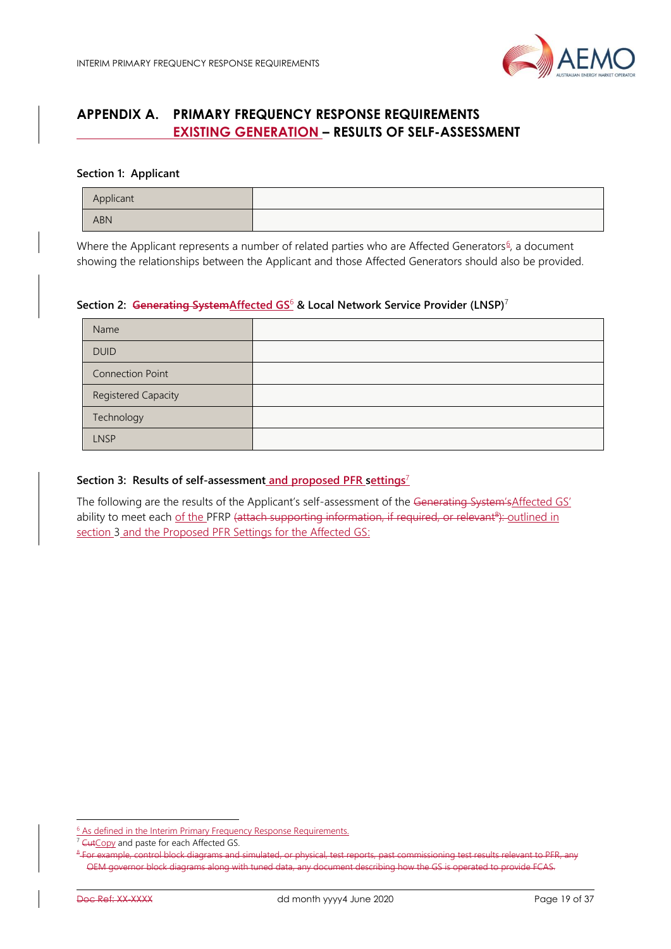

# <span id="page-18-0"></span>**APPENDIX A. PRIMARY FREQUENCY RESPONSE REQUIREMENTS EXISTING GENERATION – RESULTS OF SELF-ASSESSMENT**

#### **Section 1: Applicant**

| Applicant  |  |
|------------|--|
| <b>ABN</b> |  |

Where the Applicant represents a number of related parties who are Affected Generators<sup>6</sup>, a document showing the relationships between the Applicant and those Affected Generators should also be provided.

#### **Section 2: Generating SystemAffected GS**<sup>6</sup> **& Local Network Service Provider (LNSP)**<sup>7</sup>

| Name                    |  |
|-------------------------|--|
| <b>DUID</b>             |  |
| <b>Connection Point</b> |  |
| Registered Capacity     |  |
| Technology              |  |
| <b>LNSP</b>             |  |

#### **Section 3: Results of self-assessment and proposed PFR settings**<sup>7</sup>

The following are the results of the Applicant's self-assessment of the Generating System'sAffected GS' ability to meet each of the PFRP (attach supporting information, if required, or relevant<sup>8</sup>): outlined in section [3](#page-6-0) and the Proposed PFR Settings for the Affected GS:

<sup>&</sup>lt;sup>6</sup> As defined in the Interim Primary Frequency Response Requirements.

<sup>&</sup>lt;sup>7</sup> CutCopy and paste for each Affected GS.

<sup>8</sup> For example, control block diagrams and simulated, or physical, test reports, past commissioning test results relevant to PFR, any OEM governor block diagrams along with tuned data, any document describing how the GS is operated to provide FCAS.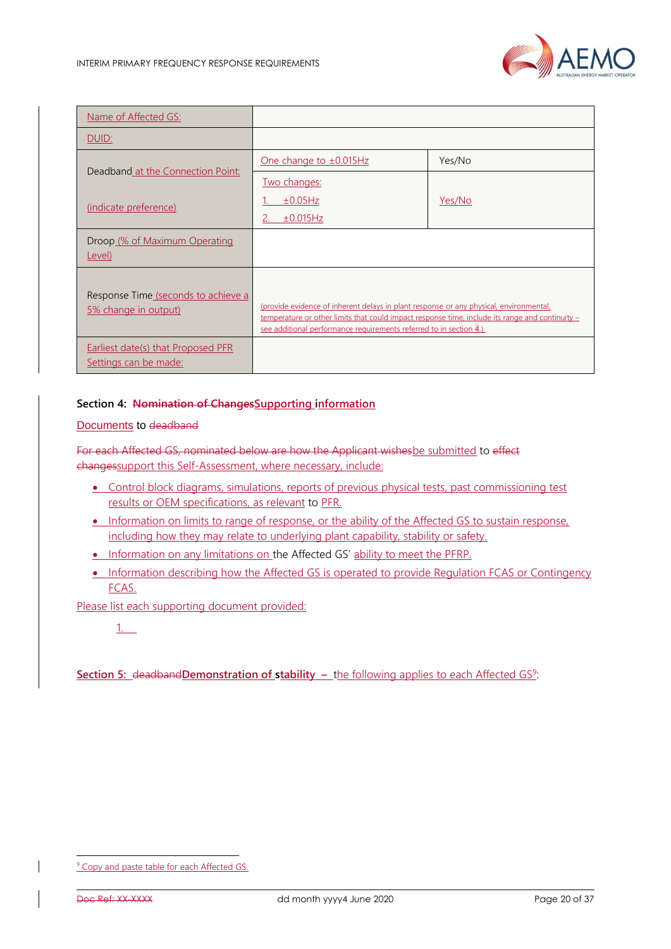

| Name of Affected GS:                                               |                                                                                                                                                                                                                                                                 |        |
|--------------------------------------------------------------------|-----------------------------------------------------------------------------------------------------------------------------------------------------------------------------------------------------------------------------------------------------------------|--------|
| <u>DUID:</u>                                                       |                                                                                                                                                                                                                                                                 |        |
|                                                                    | One change to $\pm 0.015$ Hz                                                                                                                                                                                                                                    | Yes/No |
| Deadband at the Connection Point:<br>(indicate preference)         | Two changes:<br>±0.05Hz<br>±0.015Hz                                                                                                                                                                                                                             | Yes/No |
| Droop (% of Maximum Operating<br>Level)                            |                                                                                                                                                                                                                                                                 |        |
| Response Time (seconds to achieve a<br>5% change in output)        | (provide evidence of inherent delays in plant response or any physical, environmental,<br>temperature or other limits that could impact response time, include its range and continuity -<br>see additional performance requirements referred to in section 4.) |        |
| <b>Earliest date(s) that Proposed PFR</b><br>Settings can be made: |                                                                                                                                                                                                                                                                 |        |

## **Section 4: Nomination of ChangesSupporting information**

Documents to deadband

For each Affected GS, nominated below are how the Applicant wishesbe submitted to effect changessupport this Self-Assessment, where necessary, include:

- Control block diagrams, simulations, reports of previous physical tests, past commissioning test results or OEM specifications, as relevant to PFR.
- Information on limits to range of response, or the ability of the Affected GS to sustain response, including how they may relate to underlying plant capability, stability or safety.
- Information on any limitations on the Affected GS' ability to meet the PFRP.
- Information describing how the Affected GS is operated to provide Regulation FCAS or Contingency FCAS.

Please list each supporting document provided:

## 1.

**Section 5: deadband Demonstration of stability – the following applies to each Affected GS<sup>9</sup>:** 

<sup>&</sup>lt;sup>9</sup> Copy and paste table for each Affected GS.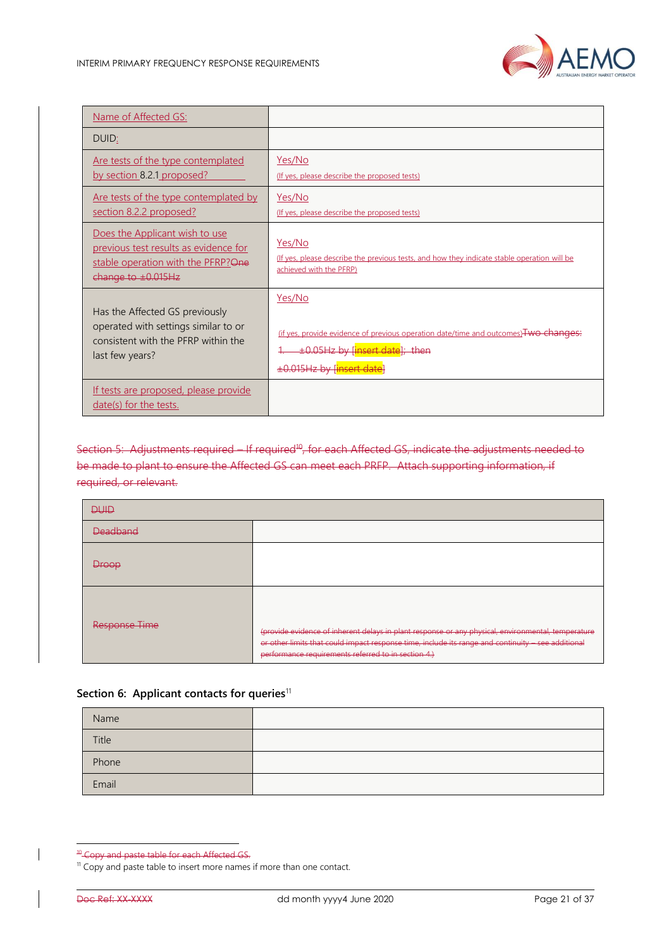

| Name of Affected GS:                                                                                                                       |                                                                                                                                                                              |
|--------------------------------------------------------------------------------------------------------------------------------------------|------------------------------------------------------------------------------------------------------------------------------------------------------------------------------|
| DUID:                                                                                                                                      |                                                                                                                                                                              |
| <u>Are tests of the type contemplated</u><br><u>by section 8.2.1 proposed?</u>                                                             | Yes/No<br>(If yes, please describe the proposed tests)                                                                                                                       |
| <u>Are tests of the type contemplated by</u><br><u>section 8.2.2 proposed?</u>                                                             | Yes/No<br>(If yes, please describe the proposed tests)                                                                                                                       |
| Does the Applicant wish to use<br>previous test results as evidence for<br>stable operation with the PFRP? One<br>change to $\pm 0.015$ Hz | Yes/No<br>(If yes, please describe the previous tests, and how they indicate stable operation will be<br>achieved with the PFRP)                                             |
| Has the Affected GS previously<br>operated with settings similar to or<br>consistent with the PFRP within the<br>last few years?           | Yes/No<br>(if yes, provide evidence of previous operation date/time and outcomes) Two changes:<br>±0.05Hz by [insert date]; then<br>±0.015Hz by [ <mark>insert date</mark> ] |
| <u>If tests are proposed, please provide</u><br>date(s) for the tests.                                                                     |                                                                                                                                                                              |

Section 5: Adjustments required – If required<sup>10</sup>, for each Affected GS, indicate the adjustments needed to be made to plant to ensure the Affected GS can meet each PRFP. Attach supporting information, if required, or relevant.

| <b>DUID</b>                                      |                                                                                                                                                                                                                                                                 |
|--------------------------------------------------|-----------------------------------------------------------------------------------------------------------------------------------------------------------------------------------------------------------------------------------------------------------------|
| <b>Deadband</b>                                  |                                                                                                                                                                                                                                                                 |
| <b>Droop</b>                                     |                                                                                                                                                                                                                                                                 |
| <u>Rocnonco Timo</u><br><del>nesponse imne</del> | (provide evidence of inherent delays in plant response or any physical, environmental, temperature<br>or other limits that could impact response time, include its range and continuity - see additional<br>performance requirements referred to in section 4.) |

## Section 6: Applicant contacts for queries<sup>11</sup>

| Name  |  |
|-------|--|
| Title |  |
| Phone |  |
| Email |  |

<sup>&</sup>lt;sup>40</sup> Copy and paste table for each Affected GS.

<sup>&</sup>lt;sup>11</sup> Copy and paste table to insert more names if more than one contact.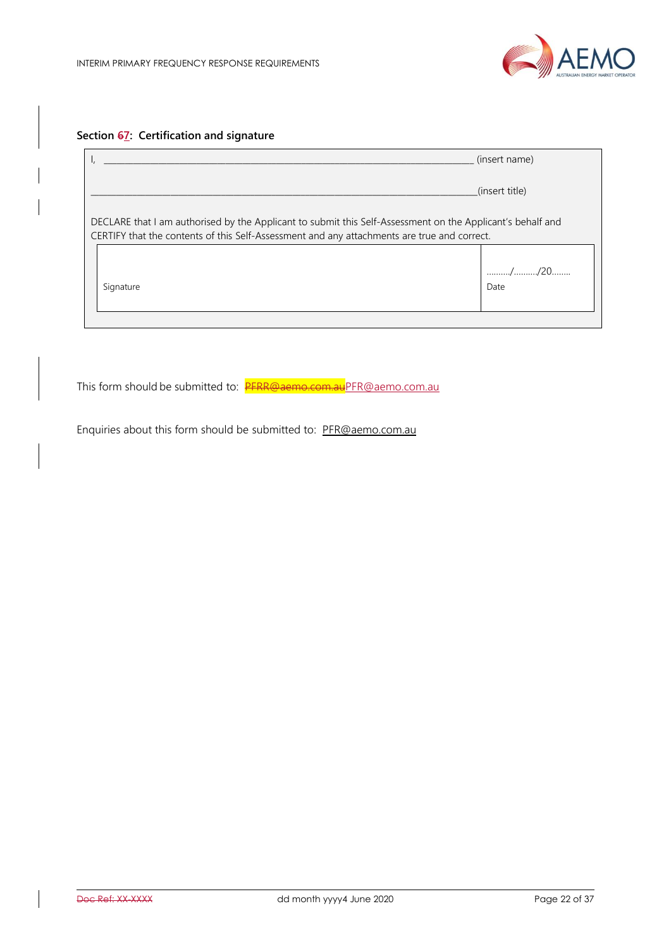

# **Section 67: Certification and signature**

|                                                                                                                                                                                                           | (insert name)  |
|-----------------------------------------------------------------------------------------------------------------------------------------------------------------------------------------------------------|----------------|
|                                                                                                                                                                                                           | (insert title) |
| DECLARE that I am authorised by the Applicant to submit this Self-Assessment on the Applicant's behalf and<br>CERTIFY that the contents of this Self-Assessment and any attachments are true and correct. |                |
| Signature                                                                                                                                                                                                 | //20<br>Date   |

This form should be submitted to: PFRR@aemo.com.a[uPFR@aemo.com.au](mailto:PFR@aemo.com.au)

Enquiries about this form should be submitted to: [PFR@aemo.com.au](mailto:PFR@aemo.com.au)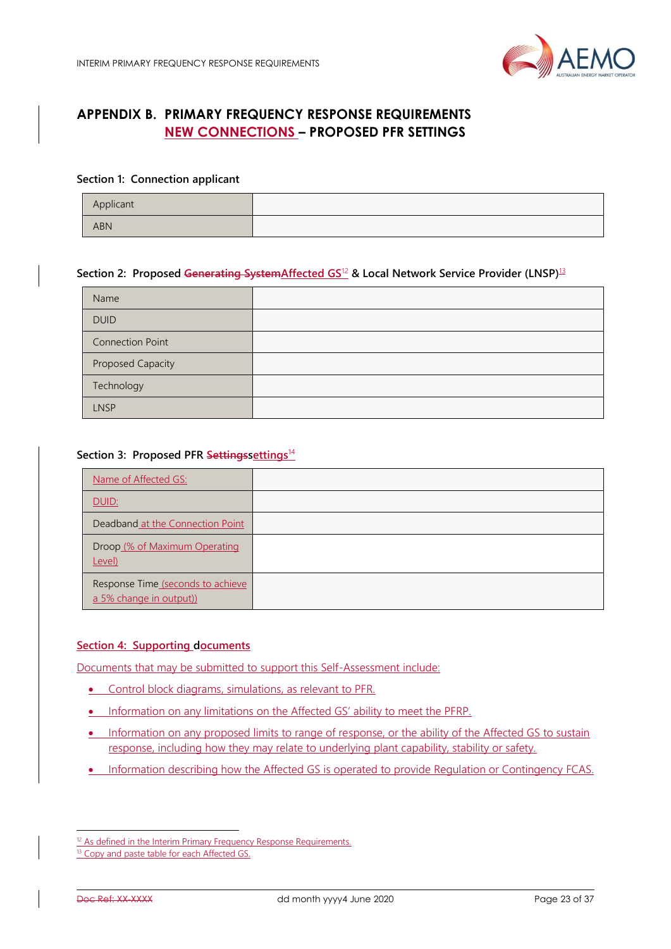

# <span id="page-22-0"></span>**APPENDIX B. PRIMARY FREQUENCY RESPONSE REQUIREMENTS NEW CONNECTIONS – PROPOSED PFR SETTINGS**

#### **Section 1: Connection applicant**

| Applicant |  |
|-----------|--|
| ABN       |  |

## **Section 2: Proposed Generating SystemAffected GS**<sup>12</sup> **& Local Network Service Provider (LNSP)**<sup>13</sup>

| Name                    |  |
|-------------------------|--|
| <b>DUID</b>             |  |
| <b>Connection Point</b> |  |
| Proposed Capacity       |  |
| Technology              |  |
| <b>LNSP</b>             |  |

#### **Section 3: Proposed PFR Settingssettings**<sup>14</sup>

| Name of Affected GS:                                         |  |
|--------------------------------------------------------------|--|
| <b>DUID:</b>                                                 |  |
| Deadband at the Connection Point                             |  |
| Droop (% of Maximum Operating<br>Level)                      |  |
| Response Time (seconds to achieve<br>a 5% change in output)) |  |

#### **Section 4: Supporting documents**

Documents that may be submitted to support this Self-Assessment include:

- Control block diagrams, simulations, as relevant to PFR.
- Information on any limitations on the Affected GS' ability to meet the PFRP.
- Information on any proposed limits to range of response, or the ability of the Affected GS to sustain response, including how they may relate to underlying plant capability, stability or safety.
- Information describing how the Affected GS is operated to provide Regulation or Contingency FCAS.

<sup>&</sup>lt;sup>12</sup> As defined in the Interim Primary Frequency Response Requirements.

<sup>&</sup>lt;sup>13</sup> Copy and paste table for each Affected GS.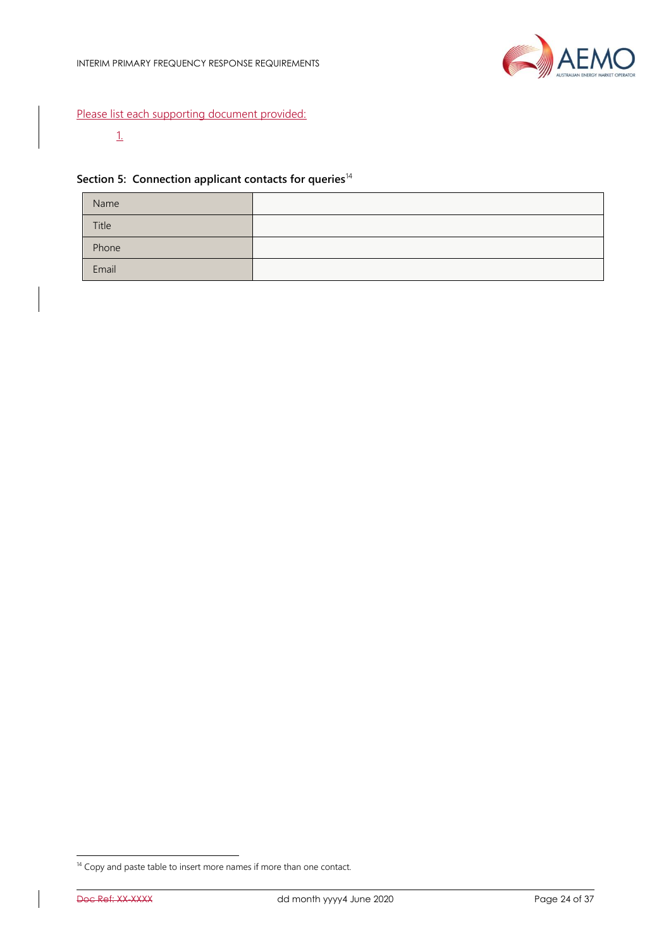

## Please list each supporting document provided:

## 1.

## Section 5: Connection applicant contacts for queries<sup>14</sup>

| Name  |  |
|-------|--|
| Title |  |
| Phone |  |
| Email |  |

<sup>&</sup>lt;sup>14</sup> Copy and paste table to insert more names if more than one contact.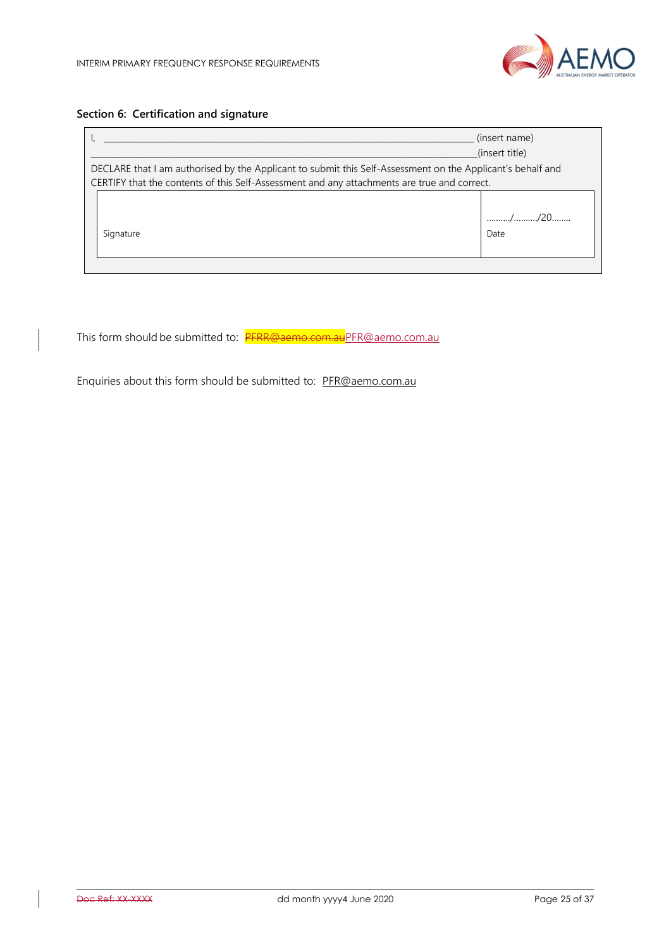

# **Section 6: Certification and signature**

|                                                                                                            | (insert name)  |
|------------------------------------------------------------------------------------------------------------|----------------|
|                                                                                                            | (insert title) |
| DECLARE that I am authorised by the Applicant to submit this Self-Assessment on the Applicant's behalf and |                |
| CERTIFY that the contents of this Self-Assessment and any attachments are true and correct.                |                |
|                                                                                                            |                |
|                                                                                                            | //20           |
| Signature                                                                                                  | Date           |
|                                                                                                            |                |
|                                                                                                            |                |

This form should be submitted to: PFRR@aemo.com.a[uPFR@aemo.com.au](mailto:PFR@aemo.com.au)

Enquiries about this form should be submitted to: [PFR@aemo.com.au](mailto:PFR@aemo.com.au)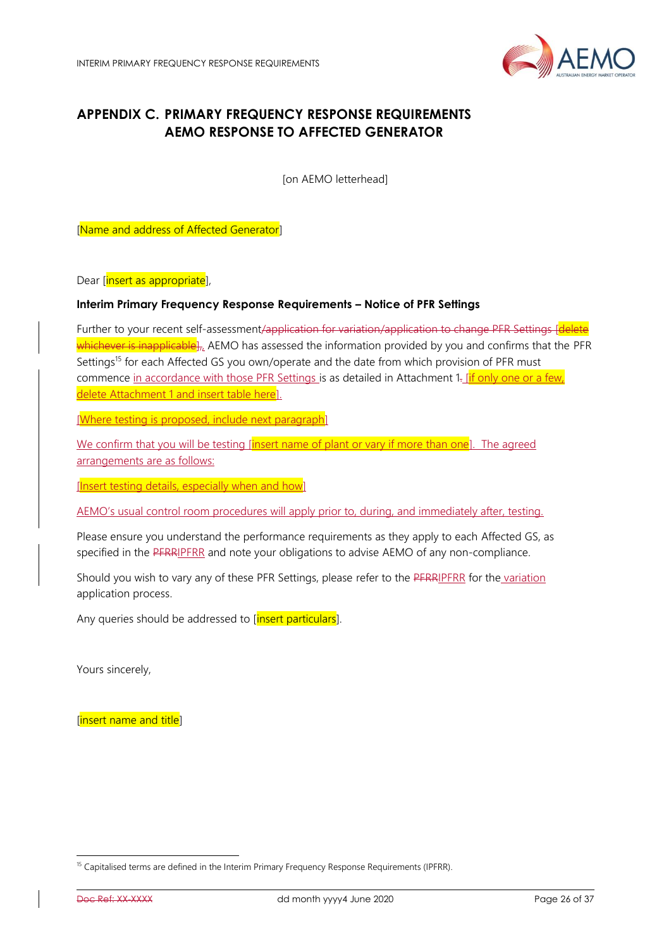

# <span id="page-25-0"></span>**APPENDIX C. PRIMARY FREQUENCY RESPONSE REQUIREMENTS AEMO RESPONSE TO AFFECTED GENERATOR**

[on AEMO letterhead]

[Name and address of Affected Generator]

Dear [insert as appropriate],

#### **Interim Primary Frequency Response Requirements – Notice of PFR Settings**

Further to your recent self-assessment/application for variation/application to change PFR Settings [delete] whichever is inapplicable], AEMO has assessed the information provided by you and confirms that the PFR Settings<sup>15</sup> for each Affected GS you own/operate and the date from which provision of PFR must commence in accordance with those PFR Settings is as detailed in Attachment 1- [if only one or a few, delete Attachment 1 and insert table here.

[Where testing is proposed, include next paragraph]

We confirm that you will be testing [insert name of plant or vary if more than one]. The agreed arrangements are as follows:

[Insert testing details, especially when and how]

AEMO's usual control room procedures will apply prior to, during, and immediately after, testing.

Please ensure you understand the performance requirements as they apply to each Affected GS, as specified in the PFRRIPFRR and note your obligations to advise AEMO of any non-compliance.

Should you wish to vary any of these PFR Settings, please refer to the PFRRIPFRR for the variation application process.

Any queries should be addressed to [insert particulars].

Yours sincerely,

[insert name and title]

<sup>&</sup>lt;sup>15</sup> Capitalised terms are defined in the Interim Primary Frequency Response Requirements (IPFRR).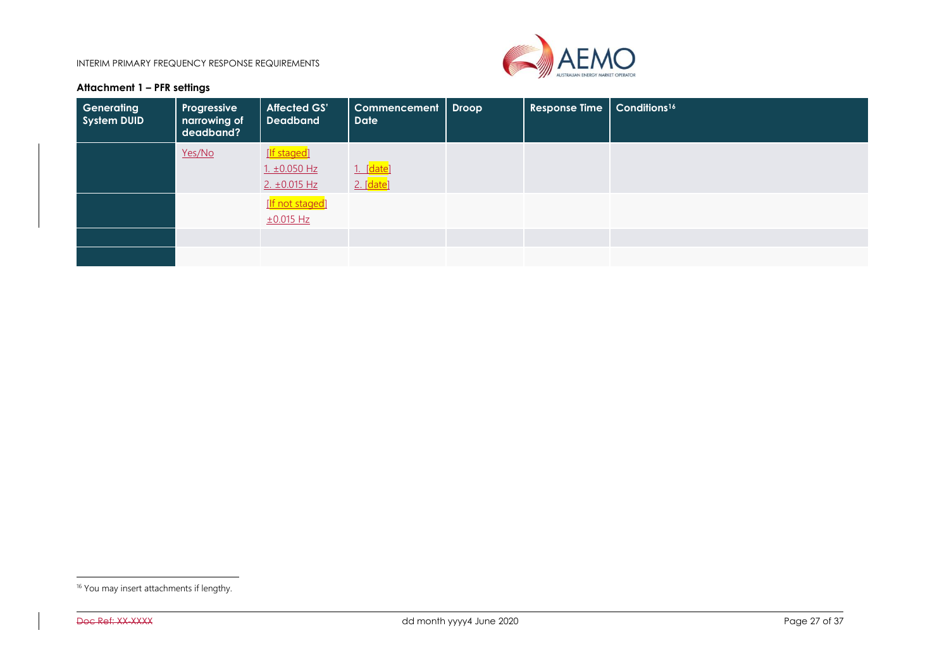INTERIM PRIMARY FREQUENCY RESPONSE REQUIREMENTS



## **Attachment 1 – PFR settings**

| Generating<br>System DUID | Progressive<br>narrowing of<br>deadband? | <b>Affected GS'</b><br><b>Deadband</b> | Commencement  <br><b>Date</b> | <b>Droop</b> | <b>Response Time</b> | Conditions <sup>16</sup> |
|---------------------------|------------------------------------------|----------------------------------------|-------------------------------|--------------|----------------------|--------------------------|
|                           | Yes/No                                   | [If staged]                            |                               |              |                      |                          |
|                           |                                          | $1. \pm 0.050$ Hz                      | 1. [date]                     |              |                      |                          |
|                           |                                          | $2. \pm 0.015$ Hz                      | 2. [date]                     |              |                      |                          |
|                           |                                          | [If not staged]                        |                               |              |                      |                          |
|                           |                                          | ±0.015 Hz                              |                               |              |                      |                          |
|                           |                                          |                                        |                               |              |                      |                          |
|                           |                                          |                                        |                               |              |                      |                          |

<sup>&</sup>lt;sup>16</sup> You may insert attachments if lengthy.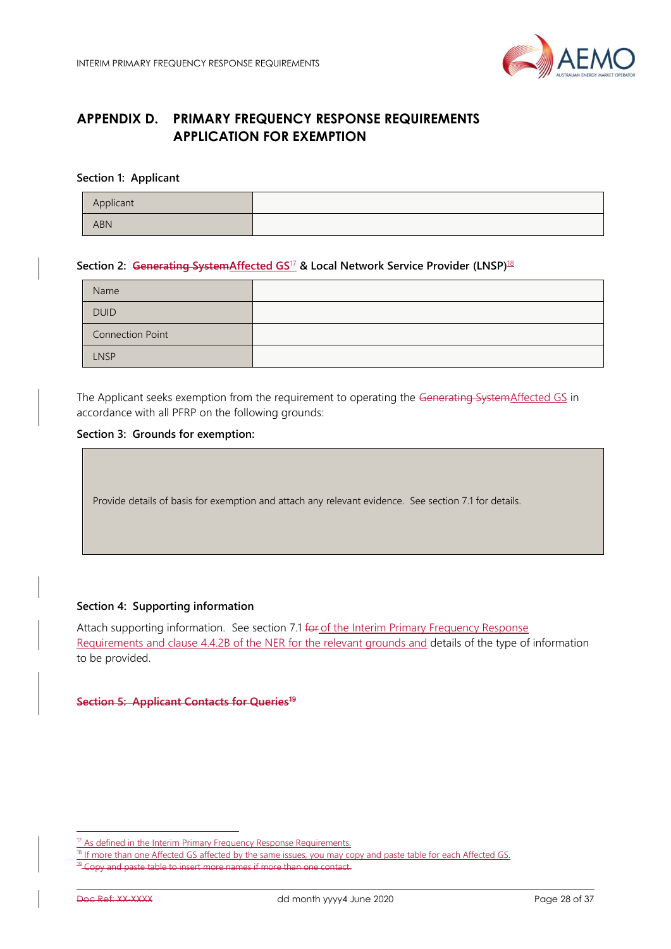

# <span id="page-27-0"></span>**APPENDIX D. PRIMARY FREQUENCY RESPONSE REQUIREMENTS APPLICATION FOR EXEMPTION**

#### **Section 1: Applicant**

| Applicant  |  |
|------------|--|
| <b>ABN</b> |  |

#### **Section 2: Generating SystemAffected GS**<sup>17</sup> **& Local Network Service Provider (LNSP)**<sup>18</sup>

| Name                    |  |
|-------------------------|--|
| <b>DUID</b>             |  |
| <b>Connection Point</b> |  |
| <b>LNSP</b>             |  |

The Applicant seeks exemption from the requirement to operating the Generating SystemAffected GS in accordance with all PFRP on the following grounds:

#### **Section 3: Grounds for exemption:**

Provide details of basis for exemption and attach any relevant evidence. See section [7.1](#page-10-1) for details.

#### **Section 4: Supporting information**

Attach supporting information. See section [7.1](#page-10-1) for of the Interim Primary Frequency Response Requirements and clause 4.4.2B of the NER for the relevant grounds and details of the type of information to be provided.

**Section 5: Applicant Contacts for Queries<sup>19</sup>**

<sup>17</sup> As defined in the Interim Primary Frequency Response Requirements.

If more than one Affected GS affected by the same issues, you may copy and paste table for each Affected GS. and paste table to insert more names if more than one contact.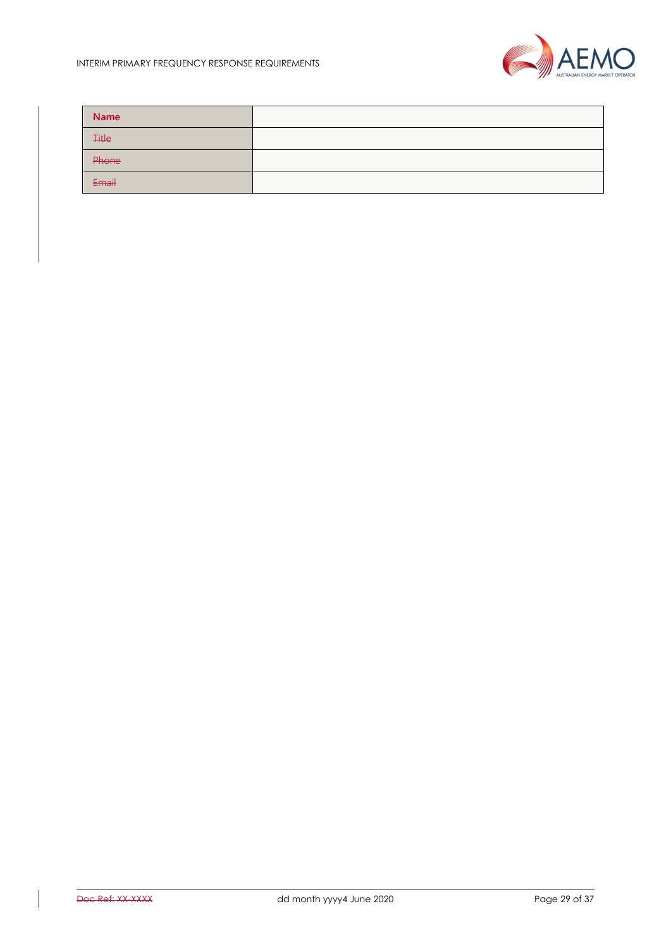

| <b>Name</b>  |  |
|--------------|--|
| <b>Title</b> |  |
| Phone        |  |
| Email        |  |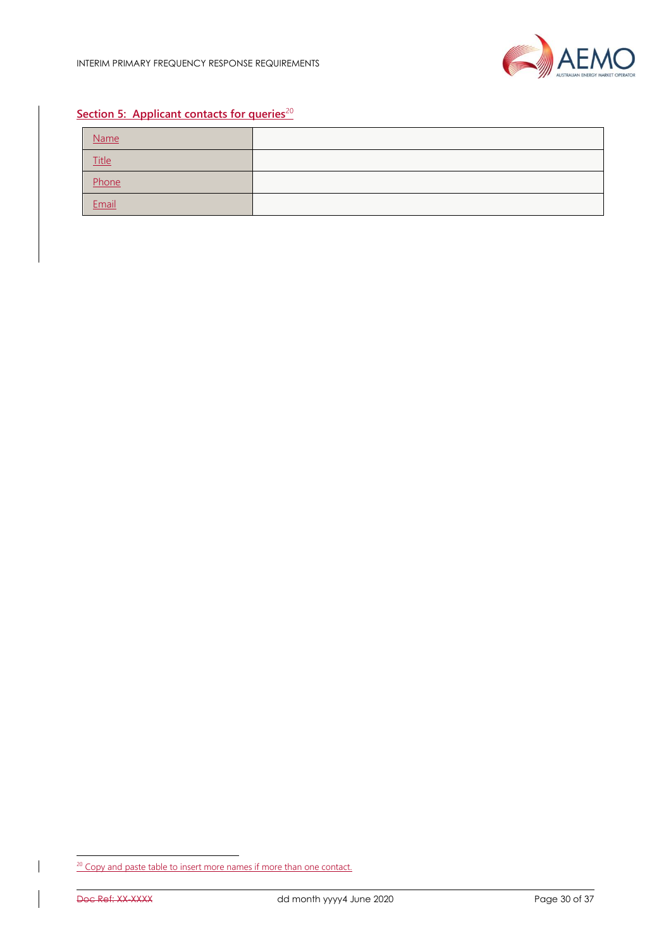

# **Section 5: Applicant contacts for queries**<sup>20</sup>

| Name         |  |
|--------------|--|
| <b>Title</b> |  |
| Phone        |  |
| Email        |  |

<sup>&</sup>lt;sup>20</sup> Copy and paste table to insert more names if more than one contact.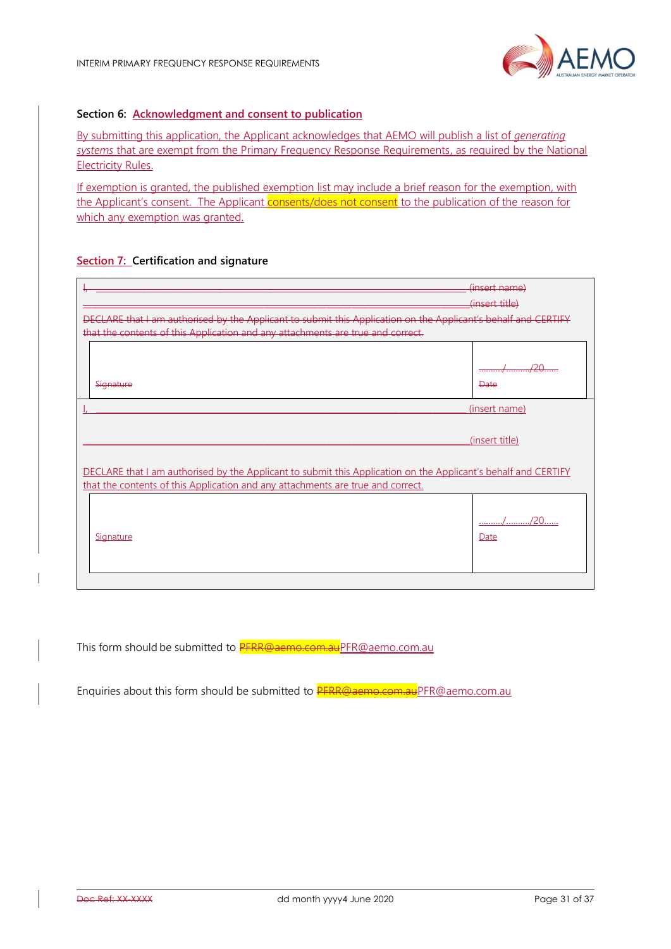

## **Section 6: Acknowledgment and consent to publication**

By submitting this application, the Applicant acknowledges that AEMO will publish a list of *generating systems* that are exempt from the Primary Frequency Response Requirements, as required by the National Electricity Rules.

If exemption is granted, the published exemption list may include a brief reason for the exemption, with the Applicant's consent. The Applicant consents/does not consent to the publication of the reason for which any exemption was granted.

## **Section 7: Certification and signature**

| CLARE that I am authorised by the Applicant to submit this Application on the Applicant's behalf and CERTIFY<br>that the contents of this Application and any attachments are true and correct.   | (insert name)<br>(insert title) |
|---------------------------------------------------------------------------------------------------------------------------------------------------------------------------------------------------|---------------------------------|
| Signature                                                                                                                                                                                         | חרו<br><b>Date</b>              |
|                                                                                                                                                                                                   | (insert name)<br>(insert title) |
| DECLARE that I am authorised by the Applicant to submit this Application on the Applicant's behalf and CERTIFY<br>that the contents of this Application and any attachments are true and correct. |                                 |
| Signature                                                                                                                                                                                         | <u>/</u> ./20.<br>Date          |

This form should be submitted to **PFRR@aemo.com.au**PFR@aemo.com.au

Enquiries about this form should be submitted to **PFRR@aemo.com.au**PFR@aemo.com.au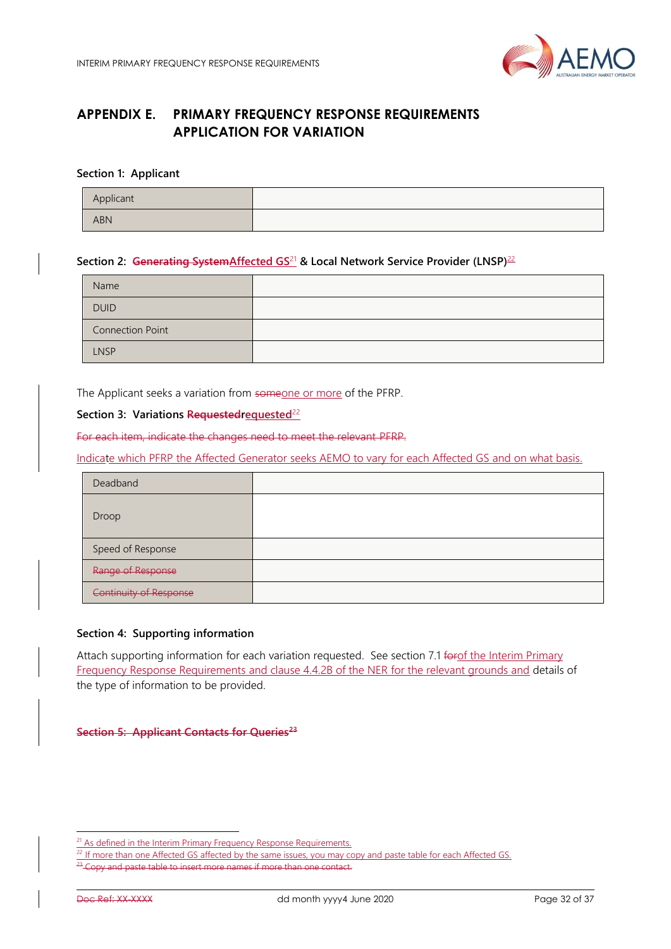

# <span id="page-31-0"></span>**APPENDIX E. PRIMARY FREQUENCY RESPONSE REQUIREMENTS APPLICATION FOR VARIATION**

#### **Section 1: Applicant**

| Applicant  |  |
|------------|--|
| <b>ABN</b> |  |

#### **Section 2: Generating SystemAffected GS**<sup>21</sup> **& Local Network Service Provider (LNSP)**<sup>22</sup>

| Name                    |  |
|-------------------------|--|
| <b>DUID</b>             |  |
| <b>Connection Point</b> |  |
| <b>LNSP</b>             |  |

The Applicant seeks a variation from someone or more of the PFRP.

## **Section 3: Variations Requestedrequested**<sup>22</sup>

For each item, indicate the changes need to meet the relevant PFRP.

Indicate which PFRP the Affected Generator seeks AEMO to vary for each Affected GS and on what basis.

| Deadband                      |  |
|-------------------------------|--|
| Droop                         |  |
| Speed of Response             |  |
| Range of Response             |  |
| <b>Continuity of Response</b> |  |

#### **Section 4: Supporting information**

Attach supporting information for each variation requested. See section 7.1 forof the Interim Primary Frequency Response Requirements and clause 4.4.2B of the NER for the relevant grounds and details of the type of information to be provided.

**Section 5: Applicant Contacts for Queries<sup>23</sup>**

<sup>&</sup>lt;sup>21</sup> As defined in the Interim Primary Frequency Response Requirements.

<sup>&</sup>lt;sup>2</sup> If more than one Affected GS affected by the same issues, you may copy and paste table for each Affected GS. y and paste table to insert more names if more than one contact.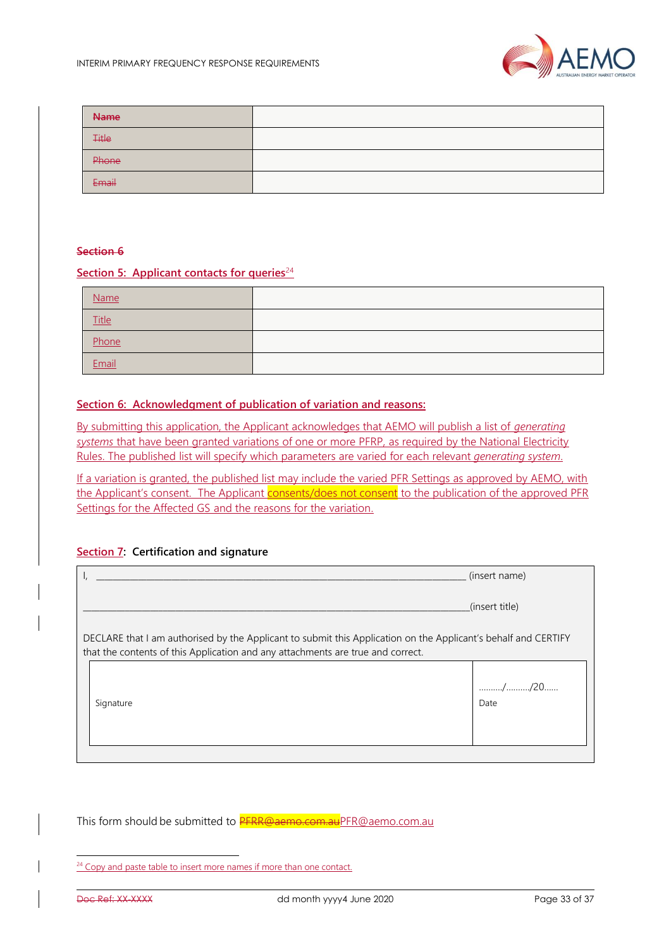

| <b>Name</b>  |  |
|--------------|--|
| <b>Title</b> |  |
| Phone        |  |
| Email        |  |

#### **Section 6**

#### **Section 5: Applicant contacts for queries**<sup>24</sup>

| Name  |  |
|-------|--|
| Title |  |
| Phone |  |
| Email |  |

#### **Section 6: Acknowledgment of publication of variation and reasons:**

By submitting this application, the Applicant acknowledges that AEMO will publish a list of *generating systems* that have been granted variations of one or more PFRP, as required by the National Electricity Rules. The published list will specify which parameters are varied for each relevant *generating system*.

If a variation is granted, the published list may include the varied PFR Settings as approved by AEMO, with the Applicant's consent. The Applicant consents/does not consent to the publication of the approved PFR Settings for the Affected GS and the reasons for the variation.

#### **Section 7: Certification and signature**

|                                                                                                                                                                                                   | (insert name)  |
|---------------------------------------------------------------------------------------------------------------------------------------------------------------------------------------------------|----------------|
|                                                                                                                                                                                                   | (insert title) |
| DECLARE that I am authorised by the Applicant to submit this Application on the Applicant's behalf and CERTIFY<br>that the contents of this Application and any attachments are true and correct. |                |
| Signature                                                                                                                                                                                         | Date           |
|                                                                                                                                                                                                   |                |

This form should be submitted to **PFRR@aemo.com.au**PFR@aemo.com.au

 $24$  Copy and paste table to insert more names if more than one contact.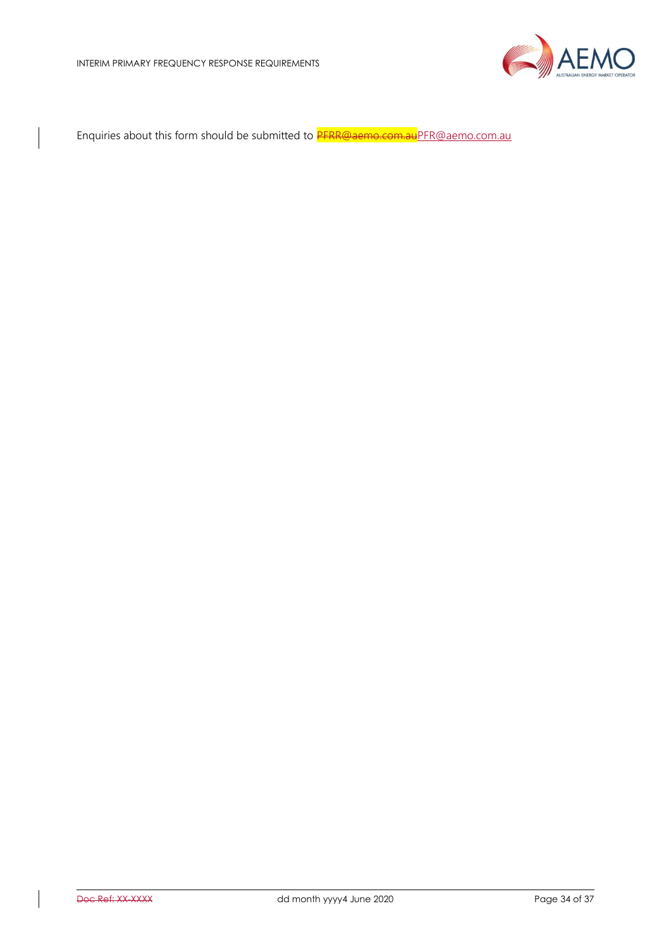

Enquiries about this form should be submitted to PFRR@aemo.com.a[uPFR@aemo.com.au](mailto:PFR@aemo.com.au)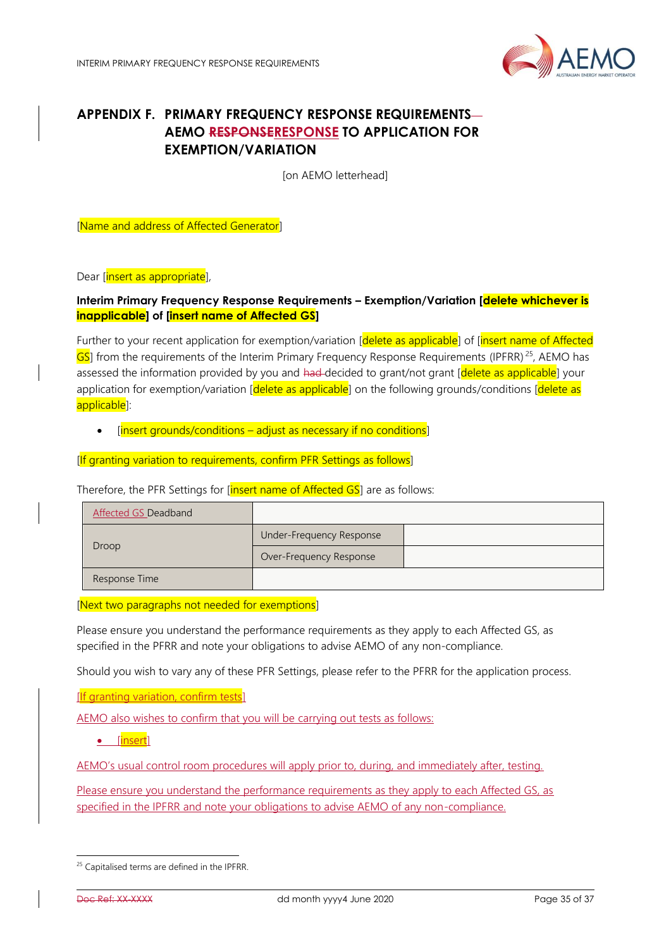

# <span id="page-34-0"></span>**APPENDIX F. PRIMARY FREQUENCY RESPONSE REQUIREMENTS-AEMO RESPONSERESPONSE TO APPLICATION FOR EXEMPTION/VARIATION**

[on AEMO letterhead]

[Name and address of Affected Generator]

Dear [insert as appropriate],

## **Interim Primary Frequency Response Requirements – Exemption/Variation [delete whichever is inapplicable] of [insert name of Affected GS]**

Further to your recent application for exemption/variation [delete as applicable] of [insert name of Affected GS] from the requirements of the Interim Primary Frequency Response Requirements (IPFRR)<sup>25</sup>, AEMO has assessed the information provided by you and had-decided to grant/not grant [delete as applicable] your application for exemption/variation [delete as applicable] on the following grounds/conditions [delete as applicable]:

 $[insert grounds/conditions - adjust as necessary if no conditions]$ 

[If granting variation to requirements, confirm PFR Settings as follows]

Therefore, the PFR Settings for [insert name of Affected GS] are as follows:

| <b>Affected GS Deadband</b> |                          |  |
|-----------------------------|--------------------------|--|
|                             | Under-Frequency Response |  |
| Droop                       | Over-Frequency Response  |  |
| Response Time               |                          |  |

[Next two paragraphs not needed for exemptions]

Please ensure you understand the performance requirements as they apply to each Affected GS, as specified in the PFRR and note your obligations to advise AEMO of any non-compliance.

Should you wish to vary any of these PFR Settings, please refer to the PFRR for the application process.

[If granting variation, confirm tests]

AEMO also wishes to confirm that you will be carrying out tests as follows:

[insert]

AEMO's usual control room procedures will apply prior to, during, and immediately after, testing.

Please ensure you understand the performance requirements as they apply to each Affected GS, as specified in the IPFRR and note your obligations to advise AEMO of any non-compliance.

<sup>&</sup>lt;sup>25</sup> Capitalised terms are defined in the IPFRR.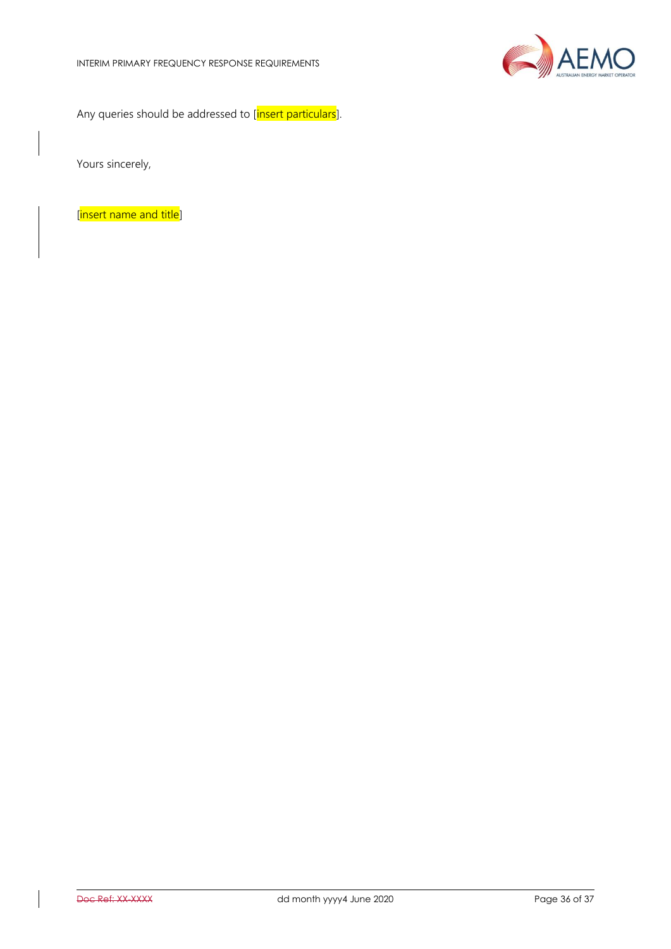

Any queries should be addressed to [insert particulars].

Yours sincerely,

[insert name and title]